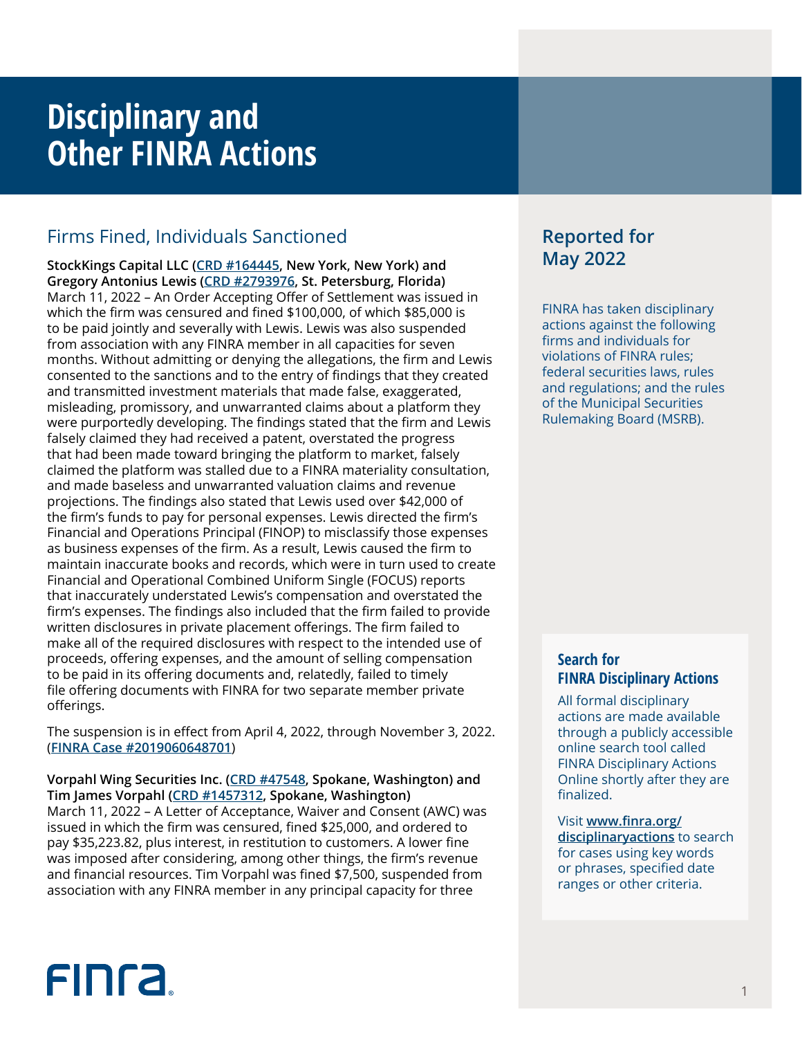## **Disciplinary and Other FINRA Actions**

## Firms Fined, Individuals Sanctioned

**StockKings Capital LLC ([CRD #164445](http://brokercheck.finra.org/firm/summary/164445), New York, New York) and Gregory Antonius Lewis [\(CRD #2793976](http://brokercheck.finra.org/individual/summary/2793976), St. Petersburg, Florida)** March 11, 2022 – An Order Accepting Offer of Settlement was issued in which the firm was censured and fined \$100,000, of which \$85,000 is to be paid jointly and severally with Lewis. Lewis was also suspended from association with any FINRA member in all capacities for seven months. Without admitting or denying the allegations, the firm and Lewis consented to the sanctions and to the entry of findings that they created and transmitted investment materials that made false, exaggerated, misleading, promissory, and unwarranted claims about a platform they were purportedly developing. The findings stated that the firm and Lewis falsely claimed they had received a patent, overstated the progress that had been made toward bringing the platform to market, falsely claimed the platform was stalled due to a FINRA materiality consultation, and made baseless and unwarranted valuation claims and revenue projections. The findings also stated that Lewis used over \$42,000 of the firm's funds to pay for personal expenses. Lewis directed the firm's Financial and Operations Principal (FINOP) to misclassify those expenses as business expenses of the firm. As a result, Lewis caused the firm to maintain inaccurate books and records, which were in turn used to create Financial and Operational Combined Uniform Single (FOCUS) reports that inaccurately understated Lewis's compensation and overstated the firm's expenses. The findings also included that the firm failed to provide written disclosures in private placement offerings. The firm failed to make all of the required disclosures with respect to the intended use of proceeds, offering expenses, and the amount of selling compensation to be paid in its offering documents and, relatedly, failed to timely file offering documents with FINRA for two separate member private offerings.

The suspension is in effect from April 4, 2022, through November 3, 2022. (**[FINRA Case #2019060648701](https://www.finra.org/rules-guidance/oversight-enforcement/finra-disciplinary-actions?search=2019060648701)**)

**Vorpahl Wing Securities Inc. ([CRD #47548](http://brokercheck.finra.org/firm/summary/47548), Spokane, Washington) and Tim James Vorpahl ([CRD #1457312,](http://brokercheck.finra.org/individual/summary/1457312) Spokane, Washington)** March 11, 2022 – A Letter of Acceptance, Waiver and Consent (AWC) was issued in which the firm was censured, fined \$25,000, and ordered to pay \$35,223.82, plus interest, in restitution to customers. A lower fine was imposed after considering, among other things, the firm's revenue and financial resources. Tim Vorpahl was fined \$7,500, suspended from association with any FINRA member in any principal capacity for three

## **Reported for May 2022**

FINRA has taken disciplinary actions against the following firms and individuals for violations of FINRA rules; federal securities laws, rules and regulations; and the rules of the Municipal Securities Rulemaking Board (MSRB).

## **Search for FINRA Disciplinary Actions**

All formal disciplinary actions are made available through a publicly accessible online search tool called FINRA Disciplinary Actions Online shortly after they are finalized.

Visit **[www.finra.org/](https://www.finra.org/rules-guidance/oversight-enforcement/finra-disciplinary-actions-online) [disciplinaryactions](https://www.finra.org/rules-guidance/oversight-enforcement/finra-disciplinary-actions-online)** to search for cases using key words or phrases, specified date ranges or other criteria.

# **FINCA**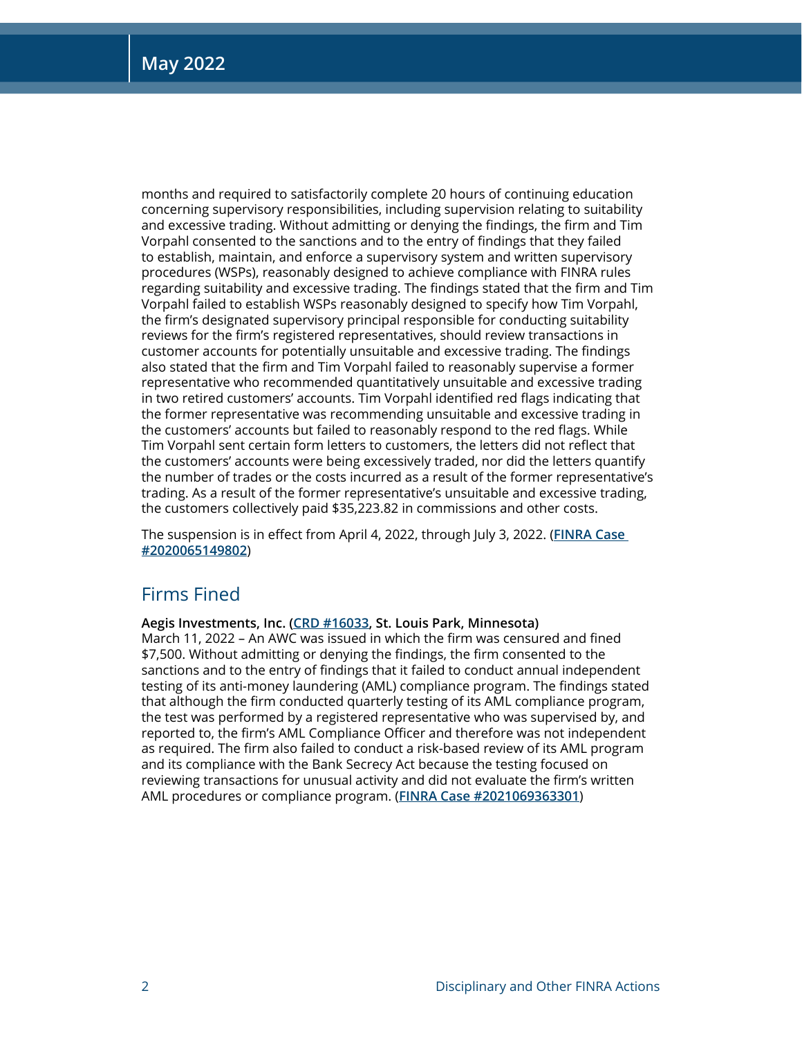months and required to satisfactorily complete 20 hours of continuing education concerning supervisory responsibilities, including supervision relating to suitability and excessive trading. Without admitting or denying the findings, the firm and Tim Vorpahl consented to the sanctions and to the entry of findings that they failed to establish, maintain, and enforce a supervisory system and written supervisory procedures (WSPs), reasonably designed to achieve compliance with FINRA rules regarding suitability and excessive trading. The findings stated that the firm and Tim Vorpahl failed to establish WSPs reasonably designed to specify how Tim Vorpahl, the firm's designated supervisory principal responsible for conducting suitability reviews for the firm's registered representatives, should review transactions in customer accounts for potentially unsuitable and excessive trading. The findings also stated that the firm and Tim Vorpahl failed to reasonably supervise a former representative who recommended quantitatively unsuitable and excessive trading in two retired customers' accounts. Tim Vorpahl identified red flags indicating that the former representative was recommending unsuitable and excessive trading in the customers' accounts but failed to reasonably respond to the red flags. While Tim Vorpahl sent certain form letters to customers, the letters did not reflect that the customers' accounts were being excessively traded, nor did the letters quantify the number of trades or the costs incurred as a result of the former representative's trading. As a result of the former representative's unsuitable and excessive trading, the customers collectively paid \$35,223.82 in commissions and other costs.

The suspension is in effect from April 4, 2022, through July 3, 2022. (**[FINRA Case](https://www.finra.org/rules-guidance/oversight-enforcement/finra-disciplinary-actions?search=2020065149802)  [#2020065149802](https://www.finra.org/rules-guidance/oversight-enforcement/finra-disciplinary-actions?search=2020065149802)**)

## Firms Fined

**Aegis Investments, Inc. [\(CRD #16033,](http://brokercheck.finra.org/firm/summary/16033) St. Louis Park, Minnesota)**

March 11, 2022 – An AWC was issued in which the firm was censured and fined \$7,500. Without admitting or denying the findings, the firm consented to the sanctions and to the entry of findings that it failed to conduct annual independent testing of its anti-money laundering (AML) compliance program. The findings stated that although the firm conducted quarterly testing of its AML compliance program, the test was performed by a registered representative who was supervised by, and reported to, the firm's AML Compliance Officer and therefore was not independent as required. The firm also failed to conduct a risk-based review of its AML program and its compliance with the Bank Secrecy Act because the testing focused on reviewing transactions for unusual activity and did not evaluate the firm's written AML procedures or compliance program. (**[FINRA Case #2021069363301](https://www.finra.org/rules-guidance/oversight-enforcement/finra-disciplinary-actions?search=2021069363301)**)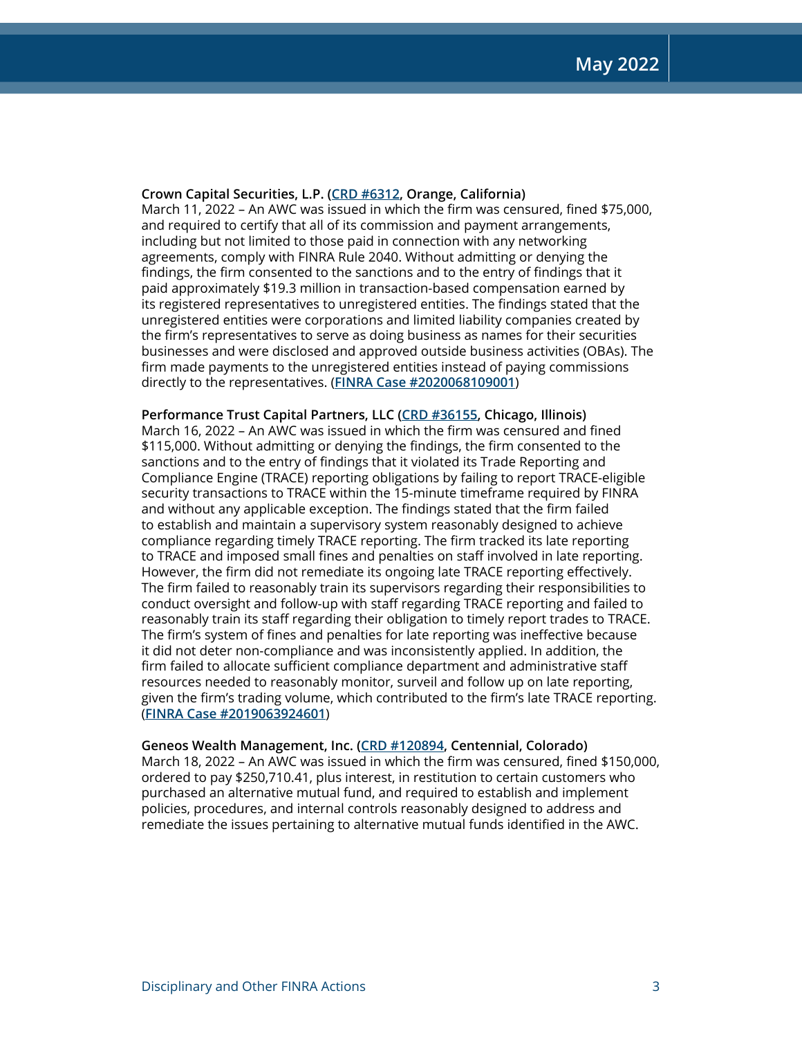## **Crown Capital Securities, L.P. [\(CRD #6312](http://brokercheck.finra.org/firm/summary/6312), Orange, California)**

March 11, 2022 – An AWC was issued in which the firm was censured, fined \$75,000, and required to certify that all of its commission and payment arrangements, including but not limited to those paid in connection with any networking agreements, comply with FINRA Rule 2040. Without admitting or denying the findings, the firm consented to the sanctions and to the entry of findings that it paid approximately \$19.3 million in transaction-based compensation earned by its registered representatives to unregistered entities. The findings stated that the unregistered entities were corporations and limited liability companies created by the firm's representatives to serve as doing business as names for their securities businesses and were disclosed and approved outside business activities (OBAs). The firm made payments to the unregistered entities instead of paying commissions directly to the representatives. (**[FINRA Case #2020068109001](https://www.finra.org/rules-guidance/oversight-enforcement/finra-disciplinary-actions?search=2020068109001)**)

**Performance Trust Capital Partners, LLC ([CRD #36155,](http://brokercheck.finra.org/firm/summary/36155) Chicago, Illinois)** March 16, 2022 – An AWC was issued in which the firm was censured and fined \$115,000. Without admitting or denying the findings, the firm consented to the sanctions and to the entry of findings that it violated its Trade Reporting and Compliance Engine (TRACE) reporting obligations by failing to report TRACE-eligible security transactions to TRACE within the 15-minute timeframe required by FINRA and without any applicable exception. The findings stated that the firm failed to establish and maintain a supervisory system reasonably designed to achieve compliance regarding timely TRACE reporting. The firm tracked its late reporting to TRACE and imposed small fines and penalties on staff involved in late reporting. However, the firm did not remediate its ongoing late TRACE reporting effectively. The firm failed to reasonably train its supervisors regarding their responsibilities to conduct oversight and follow-up with staff regarding TRACE reporting and failed to reasonably train its staff regarding their obligation to timely report trades to TRACE. The firm's system of fines and penalties for late reporting was ineffective because it did not deter non-compliance and was inconsistently applied. In addition, the firm failed to allocate sufficient compliance department and administrative staff resources needed to reasonably monitor, surveil and follow up on late reporting, given the firm's trading volume, which contributed to the firm's late TRACE reporting. (**[FINRA Case #2019063924601](https://www.finra.org/rules-guidance/oversight-enforcement/finra-disciplinary-actions?search=2019063924601)**)

## **Geneos Wealth Management, Inc. ([CRD #120894,](http://brokercheck.finra.org/firm/summary/120894) Centennial, Colorado)**

March 18, 2022 – An AWC was issued in which the firm was censured, fined \$150,000, ordered to pay \$250,710.41, plus interest, in restitution to certain customers who purchased an alternative mutual fund, and required to establish and implement policies, procedures, and internal controls reasonably designed to address and remediate the issues pertaining to alternative mutual funds identified in the AWC.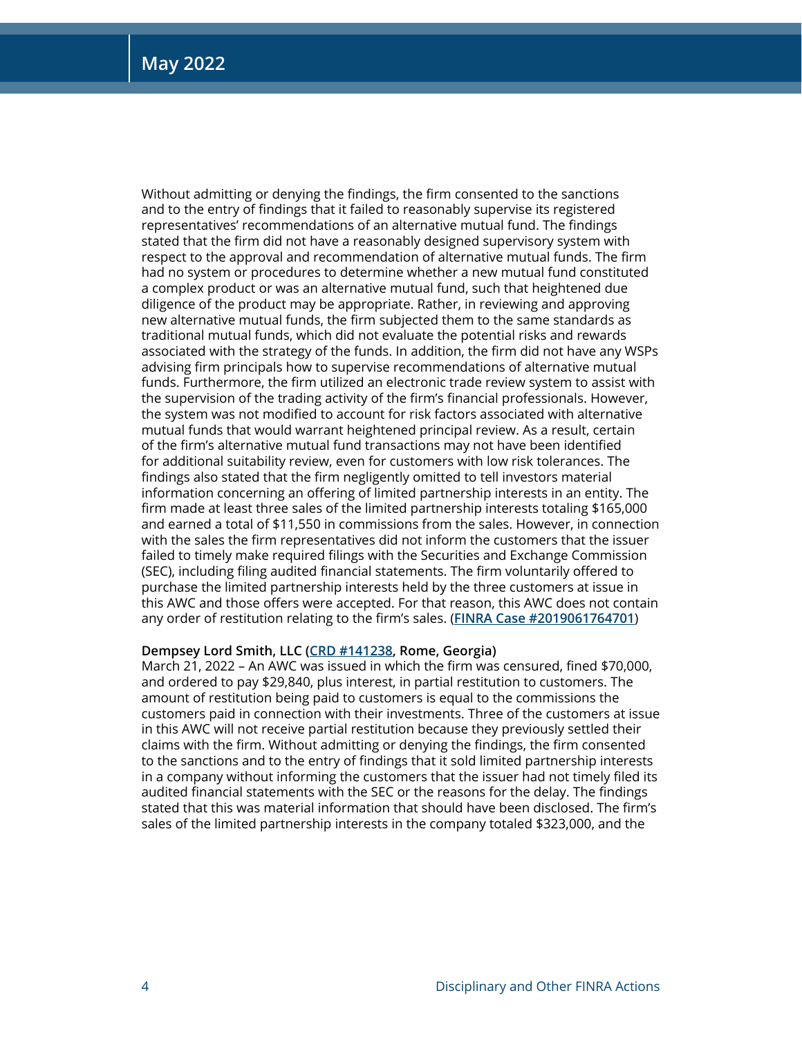Without admitting or denying the findings, the firm consented to the sanctions and to the entry of findings that it failed to reasonably supervise its registered representatives' recommendations of an alternative mutual fund. The findings stated that the firm did not have a reasonably designed supervisory system with respect to the approval and recommendation of alternative mutual funds. The firm had no system or procedures to determine whether a new mutual fund constituted a complex product or was an alternative mutual fund, such that heightened due diligence of the product may be appropriate. Rather, in reviewing and approving new alternative mutual funds, the firm subjected them to the same standards as traditional mutual funds, which did not evaluate the potential risks and rewards associated with the strategy of the funds. In addition, the firm did not have any WSPs advising firm principals how to supervise recommendations of alternative mutual funds. Furthermore, the firm utilized an electronic trade review system to assist with the supervision of the trading activity of the firm's financial professionals. However, the system was not modified to account for risk factors associated with alternative mutual funds that would warrant heightened principal review. As a result, certain of the firm's alternative mutual fund transactions may not have been identified for additional suitability review, even for customers with low risk tolerances. The findings also stated that the firm negligently omitted to tell investors material information concerning an offering of limited partnership interests in an entity. The firm made at least three sales of the limited partnership interests totaling \$165,000 and earned a total of \$11,550 in commissions from the sales. However, in connection with the sales the firm representatives did not inform the customers that the issuer failed to timely make required filings with the Securities and Exchange Commission (SEC), including filing audited financial statements. The firm voluntarily offered to purchase the limited partnership interests held by the three customers at issue in this AWC and those offers were accepted. For that reason, this AWC does not contain any order of restitution relating to the firm's sales. (**[FINRA Case #2019061764701](https://www.finra.org/rules-guidance/oversight-enforcement/finra-disciplinary-actions?search=2019061764701)**)

## **Dempsey Lord Smith, LLC [\(CRD #141238,](http://brokercheck.finra.org/firm/summary/141238) Rome, Georgia)**

March 21, 2022 – An AWC was issued in which the firm was censured, fined \$70,000, and ordered to pay \$29,840, plus interest, in partial restitution to customers. The amount of restitution being paid to customers is equal to the commissions the customers paid in connection with their investments. Three of the customers at issue in this AWC will not receive partial restitution because they previously settled their claims with the firm. Without admitting or denying the findings, the firm consented to the sanctions and to the entry of findings that it sold limited partnership interests in a company without informing the customers that the issuer had not timely filed its audited financial statements with the SEC or the reasons for the delay. The findings stated that this was material information that should have been disclosed. The firm's sales of the limited partnership interests in the company totaled \$323,000, and the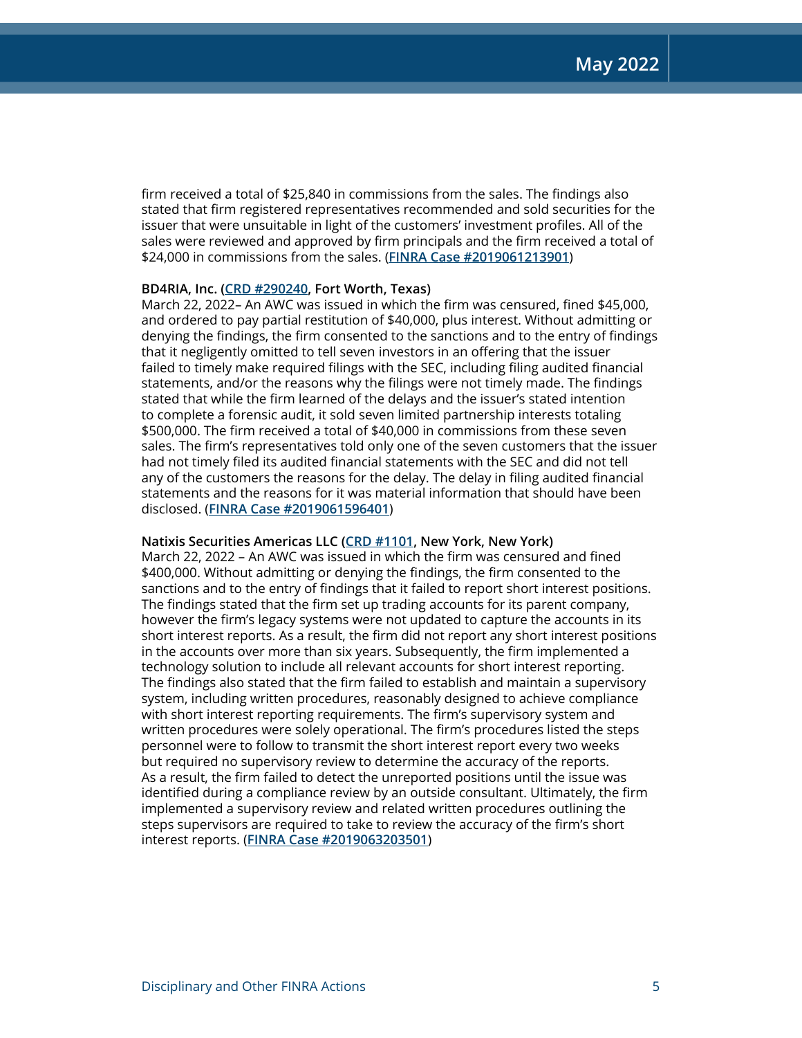firm received a total of \$25,840 in commissions from the sales. The findings also stated that firm registered representatives recommended and sold securities for the issuer that were unsuitable in light of the customers' investment profiles. All of the sales were reviewed and approved by firm principals and the firm received a total of \$24,000 in commissions from the sales. (**[FINRA Case #2019061213901](https://www.finra.org/rules-guidance/oversight-enforcement/finra-disciplinary-actions?search=2019061213901)**)

## **BD4RIA, Inc. ([CRD #290240](http://brokercheck.finra.org/firm/summary/290240), Fort Worth, Texas)**

March 22, 2022– An AWC was issued in which the firm was censured, fined \$45,000, and ordered to pay partial restitution of \$40,000, plus interest. Without admitting or denying the findings, the firm consented to the sanctions and to the entry of findings that it negligently omitted to tell seven investors in an offering that the issuer failed to timely make required filings with the SEC, including filing audited financial statements, and/or the reasons why the filings were not timely made. The findings stated that while the firm learned of the delays and the issuer's stated intention to complete a forensic audit, it sold seven limited partnership interests totaling \$500,000. The firm received a total of \$40,000 in commissions from these seven sales. The firm's representatives told only one of the seven customers that the issuer had not timely filed its audited financial statements with the SEC and did not tell any of the customers the reasons for the delay. The delay in filing audited financial statements and the reasons for it was material information that should have been disclosed. (**[FINRA Case #2019061596401](https://www.finra.org/rules-guidance/oversight-enforcement/finra-disciplinary-actions?search=2019061596401)**)

## **Natixis Securities Americas LLC ([CRD #1101,](http://brokercheck.finra.org/firm/summary/1101) New York, New York)**

March 22, 2022 – An AWC was issued in which the firm was censured and fined \$400,000. Without admitting or denying the findings, the firm consented to the sanctions and to the entry of findings that it failed to report short interest positions. The findings stated that the firm set up trading accounts for its parent company, however the firm's legacy systems were not updated to capture the accounts in its short interest reports. As a result, the firm did not report any short interest positions in the accounts over more than six years. Subsequently, the firm implemented a technology solution to include all relevant accounts for short interest reporting. The findings also stated that the firm failed to establish and maintain a supervisory system, including written procedures, reasonably designed to achieve compliance with short interest reporting requirements. The firm's supervisory system and written procedures were solely operational. The firm's procedures listed the steps personnel were to follow to transmit the short interest report every two weeks but required no supervisory review to determine the accuracy of the reports. As a result, the firm failed to detect the unreported positions until the issue was identified during a compliance review by an outside consultant. Ultimately, the firm implemented a supervisory review and related written procedures outlining the steps supervisors are required to take to review the accuracy of the firm's short interest reports. (**[FINRA Case #2019063203501](https://www.finra.org/rules-guidance/oversight-enforcement/finra-disciplinary-actions?search=2019063203501)**)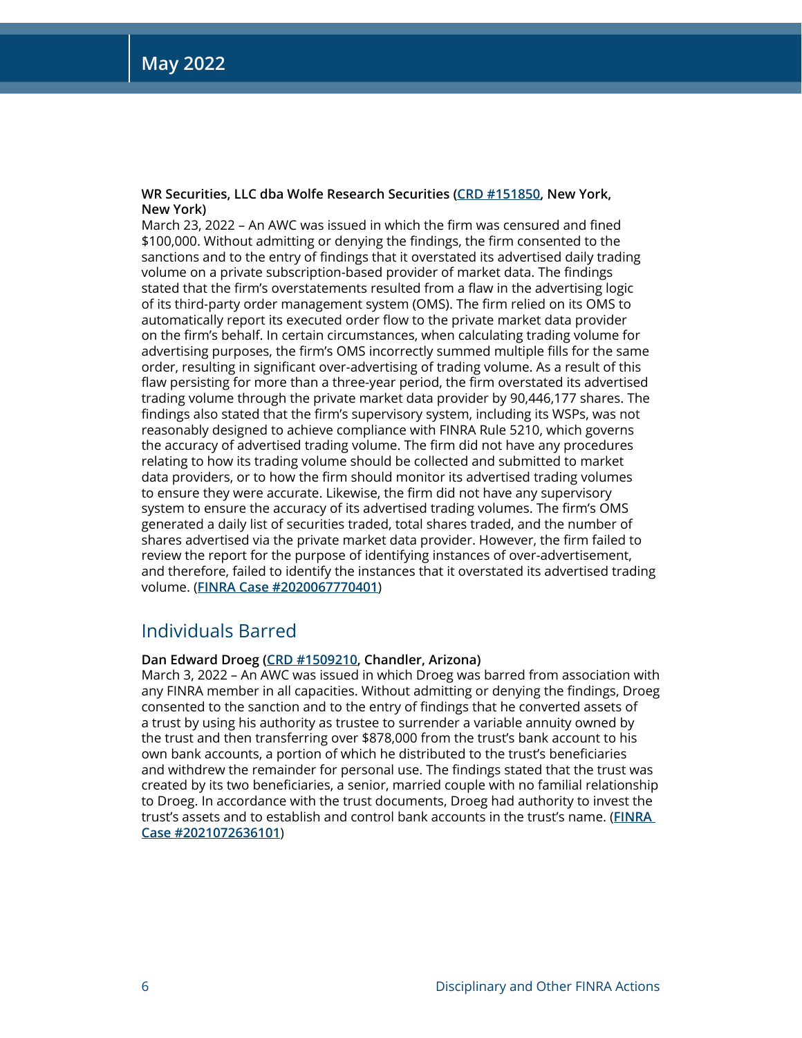## **WR Securities, LLC dba Wolfe Research Securities [\(CRD #151850,](http://brokercheck.finra.org/firm/summary/151850) New York, New York)**

March 23, 2022 – An AWC was issued in which the firm was censured and fined \$100,000. Without admitting or denying the findings, the firm consented to the sanctions and to the entry of findings that it overstated its advertised daily trading volume on a private subscription-based provider of market data. The findings stated that the firm's overstatements resulted from a flaw in the advertising logic of its third-party order management system (OMS). The firm relied on its OMS to automatically report its executed order flow to the private market data provider on the firm's behalf. In certain circumstances, when calculating trading volume for advertising purposes, the firm's OMS incorrectly summed multiple fills for the same order, resulting in significant over-advertising of trading volume. As a result of this flaw persisting for more than a three-year period, the firm overstated its advertised trading volume through the private market data provider by 90,446,177 shares. The findings also stated that the firm's supervisory system, including its WSPs, was not reasonably designed to achieve compliance with FINRA Rule 5210, which governs the accuracy of advertised trading volume. The firm did not have any procedures relating to how its trading volume should be collected and submitted to market data providers, or to how the firm should monitor its advertised trading volumes to ensure they were accurate. Likewise, the firm did not have any supervisory system to ensure the accuracy of its advertised trading volumes. The firm's OMS generated a daily list of securities traded, total shares traded, and the number of shares advertised via the private market data provider. However, the firm failed to review the report for the purpose of identifying instances of over-advertisement, and therefore, failed to identify the instances that it overstated its advertised trading volume. (**[FINRA Case #2020067770401](https://www.finra.org/rules-guidance/oversight-enforcement/finra-disciplinary-actions?search=2020067770401)**)

## Individuals Barred

## **Dan Edward Droeg ([CRD #1509210,](http://brokercheck.finra.org/individual/summary/1509210) Chandler, Arizona)**

March 3, 2022 – An AWC was issued in which Droeg was barred from association with any FINRA member in all capacities. Without admitting or denying the findings, Droeg consented to the sanction and to the entry of findings that he converted assets of a trust by using his authority as trustee to surrender a variable annuity owned by the trust and then transferring over \$878,000 from the trust's bank account to his own bank accounts, a portion of which he distributed to the trust's beneficiaries and withdrew the remainder for personal use. The findings stated that the trust was created by its two beneficiaries, a senior, married couple with no familial relationship to Droeg. In accordance with the trust documents, Droeg had authority to invest the trust's assets and to establish and control bank accounts in the trust's name. (**[FINRA](https://www.finra.org/rules-guidance/oversight-enforcement/finra-disciplinary-actions?search=2021072636101)  [Case #2021072636101](https://www.finra.org/rules-guidance/oversight-enforcement/finra-disciplinary-actions?search=2021072636101)**)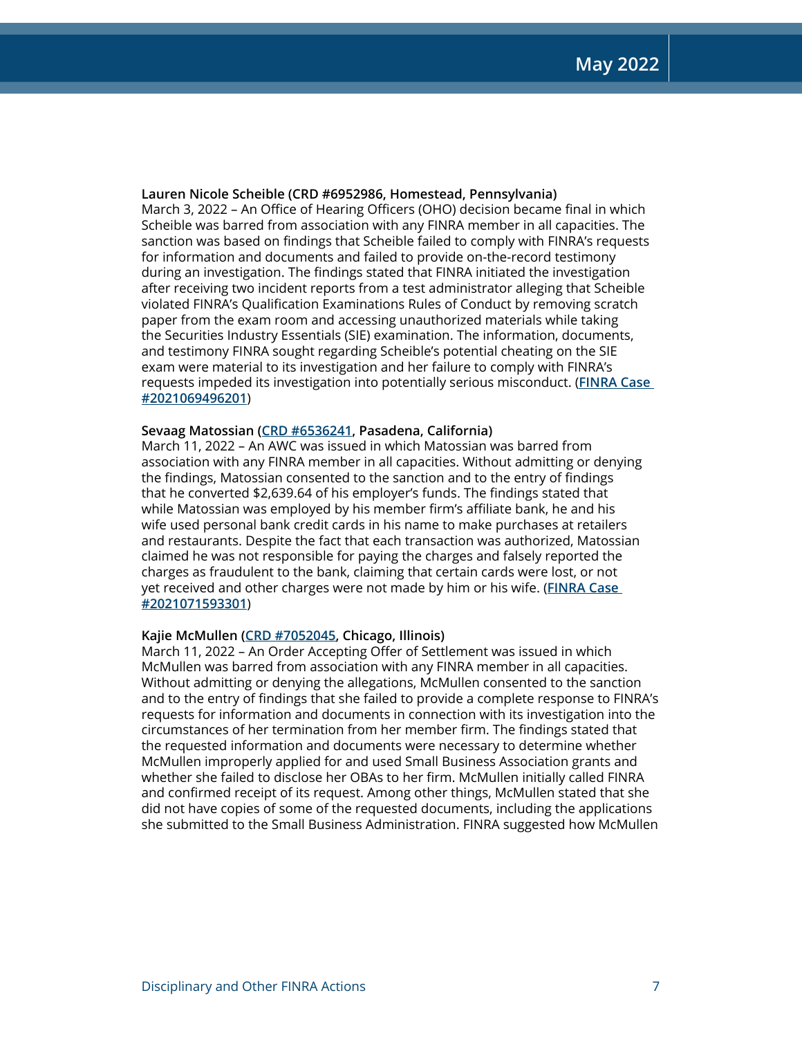## **Lauren Nicole Scheible (CRD #6952986, Homestead, Pennsylvania)**

March 3, 2022 – An Office of Hearing Officers (OHO) decision became final in which Scheible was barred from association with any FINRA member in all capacities. The sanction was based on findings that Scheible failed to comply with FINRA's requests for information and documents and failed to provide on-the-record testimony during an investigation. The findings stated that FINRA initiated the investigation after receiving two incident reports from a test administrator alleging that Scheible violated FINRA's Qualification Examinations Rules of Conduct by removing scratch paper from the exam room and accessing unauthorized materials while taking the Securities Industry Essentials (SIE) examination. The information, documents, and testimony FINRA sought regarding Scheible's potential cheating on the SIE exam were material to its investigation and her failure to comply with FINRA's requests impeded its investigation into potentially serious misconduct. (**[FINRA Case](https://www.finra.org/rules-guidance/oversight-enforcement/finra-disciplinary-actions?search=2021069496201)  [#2021069496201](https://www.finra.org/rules-guidance/oversight-enforcement/finra-disciplinary-actions?search=2021069496201)**)

## **Sevaag Matossian ([CRD #6536241,](http://brokercheck.finra.org/individual/summary/6536241) Pasadena, California)**

March 11, 2022 – An AWC was issued in which Matossian was barred from association with any FINRA member in all capacities. Without admitting or denying the findings, Matossian consented to the sanction and to the entry of findings that he converted \$2,639.64 of his employer's funds. The findings stated that while Matossian was employed by his member firm's affiliate bank, he and his wife used personal bank credit cards in his name to make purchases at retailers and restaurants. Despite the fact that each transaction was authorized, Matossian claimed he was not responsible for paying the charges and falsely reported the charges as fraudulent to the bank, claiming that certain cards were lost, or not yet received and other charges were not made by him or his wife. (**[FINRA Case](https://www.finra.org/rules-guidance/oversight-enforcement/finra-disciplinary-actions?search=2021071593301)  [#2021071593301](https://www.finra.org/rules-guidance/oversight-enforcement/finra-disciplinary-actions?search=2021071593301)**)

## **Kajie McMullen [\(CRD #7052045](http://brokercheck.finra.org/individual/summary/7052045), Chicago, Illinois)**

March 11, 2022 – An Order Accepting Offer of Settlement was issued in which McMullen was barred from association with any FINRA member in all capacities. Without admitting or denying the allegations, McMullen consented to the sanction and to the entry of findings that she failed to provide a complete response to FINRA's requests for information and documents in connection with its investigation into the circumstances of her termination from her member firm. The findings stated that the requested information and documents were necessary to determine whether McMullen improperly applied for and used Small Business Association grants and whether she failed to disclose her OBAs to her firm. McMullen initially called FINRA and confirmed receipt of its request. Among other things, McMullen stated that she did not have copies of some of the requested documents, including the applications she submitted to the Small Business Administration. FINRA suggested how McMullen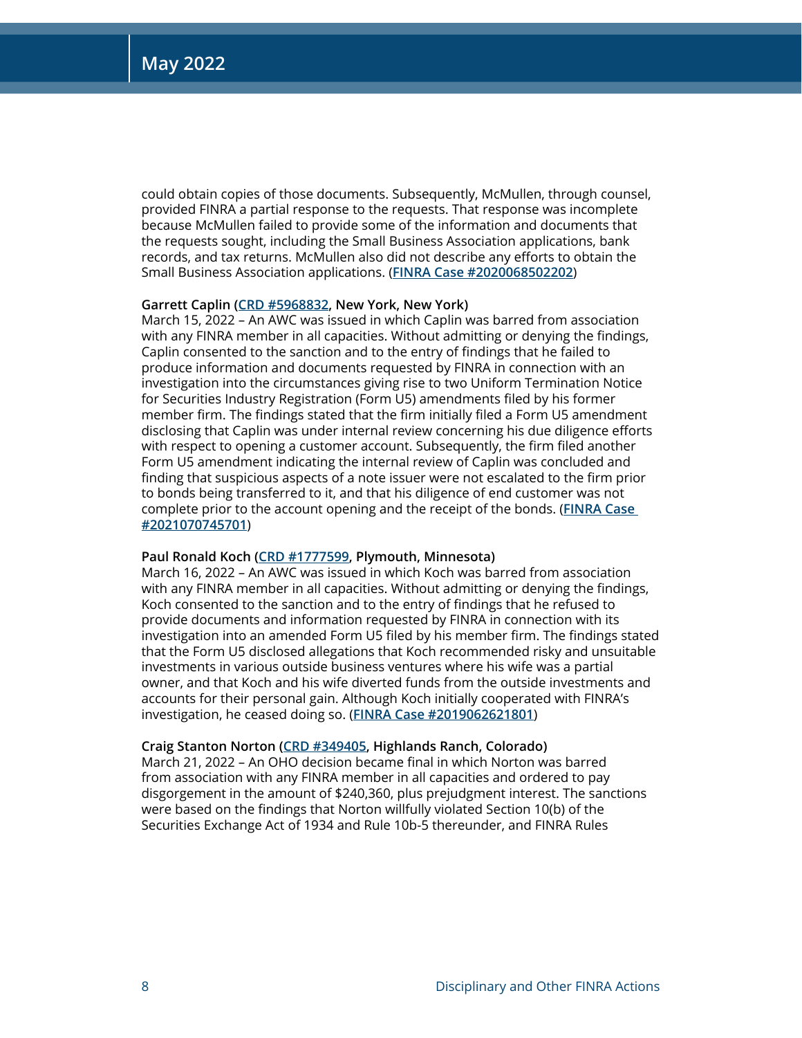could obtain copies of those documents. Subsequently, McMullen, through counsel, provided FINRA a partial response to the requests. That response was incomplete because McMullen failed to provide some of the information and documents that the requests sought, including the Small Business Association applications, bank records, and tax returns. McMullen also did not describe any efforts to obtain the Small Business Association applications. (**[FINRA Case #2020068502202](https://www.finra.org/rules-guidance/oversight-enforcement/finra-disciplinary-actions?search=2020068502202)**)

## **Garrett Caplin ([CRD #5968832](http://brokercheck.finra.org/individual/summary/5968832), New York, New York)**

March 15, 2022 – An AWC was issued in which Caplin was barred from association with any FINRA member in all capacities. Without admitting or denying the findings, Caplin consented to the sanction and to the entry of findings that he failed to produce information and documents requested by FINRA in connection with an investigation into the circumstances giving rise to two Uniform Termination Notice for Securities Industry Registration (Form U5) amendments filed by his former member firm. The findings stated that the firm initially filed a Form U5 amendment disclosing that Caplin was under internal review concerning his due diligence efforts with respect to opening a customer account. Subsequently, the firm filed another Form U5 amendment indicating the internal review of Caplin was concluded and finding that suspicious aspects of a note issuer were not escalated to the firm prior to bonds being transferred to it, and that his diligence of end customer was not complete prior to the account opening and the receipt of the bonds. (**[FINRA Case](https://www.finra.org/rules-guidance/oversight-enforcement/finra-disciplinary-actions?search=2021070745701)  [#2021070745701](https://www.finra.org/rules-guidance/oversight-enforcement/finra-disciplinary-actions?search=2021070745701)**)

#### **Paul Ronald Koch ([CRD #1777599,](http://brokercheck.finra.org/individual/summary/1777599) Plymouth, Minnesota)**

March 16, 2022 – An AWC was issued in which Koch was barred from association with any FINRA member in all capacities. Without admitting or denying the findings, Koch consented to the sanction and to the entry of findings that he refused to provide documents and information requested by FINRA in connection with its investigation into an amended Form U5 filed by his member firm. The findings stated that the Form U5 disclosed allegations that Koch recommended risky and unsuitable investments in various outside business ventures where his wife was a partial owner, and that Koch and his wife diverted funds from the outside investments and accounts for their personal gain. Although Koch initially cooperated with FINRA's investigation, he ceased doing so. (**[FINRA Case #2019062621801](https://www.finra.org/rules-guidance/oversight-enforcement/finra-disciplinary-actions?search=2019062621801)**)

#### **Craig Stanton Norton [\(CRD #349405,](http://brokercheck.finra.org/individual/summary/349405) Highlands Ranch, Colorado)**

March 21, 2022 – An OHO decision became final in which Norton was barred from association with any FINRA member in all capacities and ordered to pay disgorgement in the amount of \$240,360, plus prejudgment interest. The sanctions were based on the findings that Norton willfully violated Section 10(b) of the Securities Exchange Act of 1934 and Rule 10b-5 thereunder, and FINRA Rules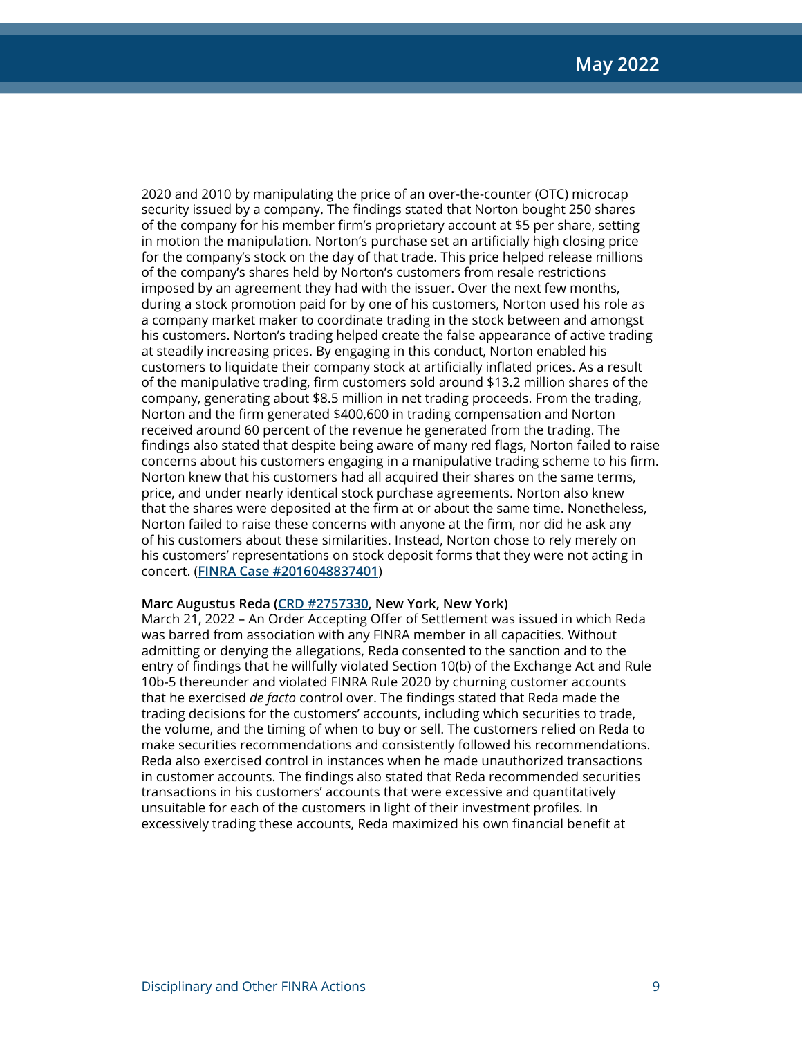2020 and 2010 by manipulating the price of an over-the-counter (OTC) microcap security issued by a company. The findings stated that Norton bought 250 shares of the company for his member firm's proprietary account at \$5 per share, setting in motion the manipulation. Norton's purchase set an artificially high closing price for the company's stock on the day of that trade. This price helped release millions of the company's shares held by Norton's customers from resale restrictions imposed by an agreement they had with the issuer. Over the next few months, during a stock promotion paid for by one of his customers, Norton used his role as a company market maker to coordinate trading in the stock between and amongst his customers. Norton's trading helped create the false appearance of active trading at steadily increasing prices. By engaging in this conduct, Norton enabled his customers to liquidate their company stock at artificially inflated prices. As a result of the manipulative trading, firm customers sold around \$13.2 million shares of the company, generating about \$8.5 million in net trading proceeds. From the trading, Norton and the firm generated \$400,600 in trading compensation and Norton received around 60 percent of the revenue he generated from the trading. The findings also stated that despite being aware of many red flags, Norton failed to raise concerns about his customers engaging in a manipulative trading scheme to his firm. Norton knew that his customers had all acquired their shares on the same terms, price, and under nearly identical stock purchase agreements. Norton also knew that the shares were deposited at the firm at or about the same time. Nonetheless, Norton failed to raise these concerns with anyone at the firm, nor did he ask any of his customers about these similarities. Instead, Norton chose to rely merely on his customers' representations on stock deposit forms that they were not acting in concert. (**[FINRA Case #2016048837401](https://www.finra.org/rules-guidance/oversight-enforcement/finra-disciplinary-actions?search=2016048837401)**)

## **Marc Augustus Reda [\(CRD #2757330](http://brokercheck.finra.org/individual/summary/2757330), New York, New York)**

March 21, 2022 – An Order Accepting Offer of Settlement was issued in which Reda was barred from association with any FINRA member in all capacities. Without admitting or denying the allegations, Reda consented to the sanction and to the entry of findings that he willfully violated Section 10(b) of the Exchange Act and Rule 10b-5 thereunder and violated FINRA Rule 2020 by churning customer accounts that he exercised *de facto* control over. The findings stated that Reda made the trading decisions for the customers' accounts, including which securities to trade, the volume, and the timing of when to buy or sell. The customers relied on Reda to make securities recommendations and consistently followed his recommendations. Reda also exercised control in instances when he made unauthorized transactions in customer accounts. The findings also stated that Reda recommended securities transactions in his customers' accounts that were excessive and quantitatively unsuitable for each of the customers in light of their investment profiles. In excessively trading these accounts, Reda maximized his own financial benefit at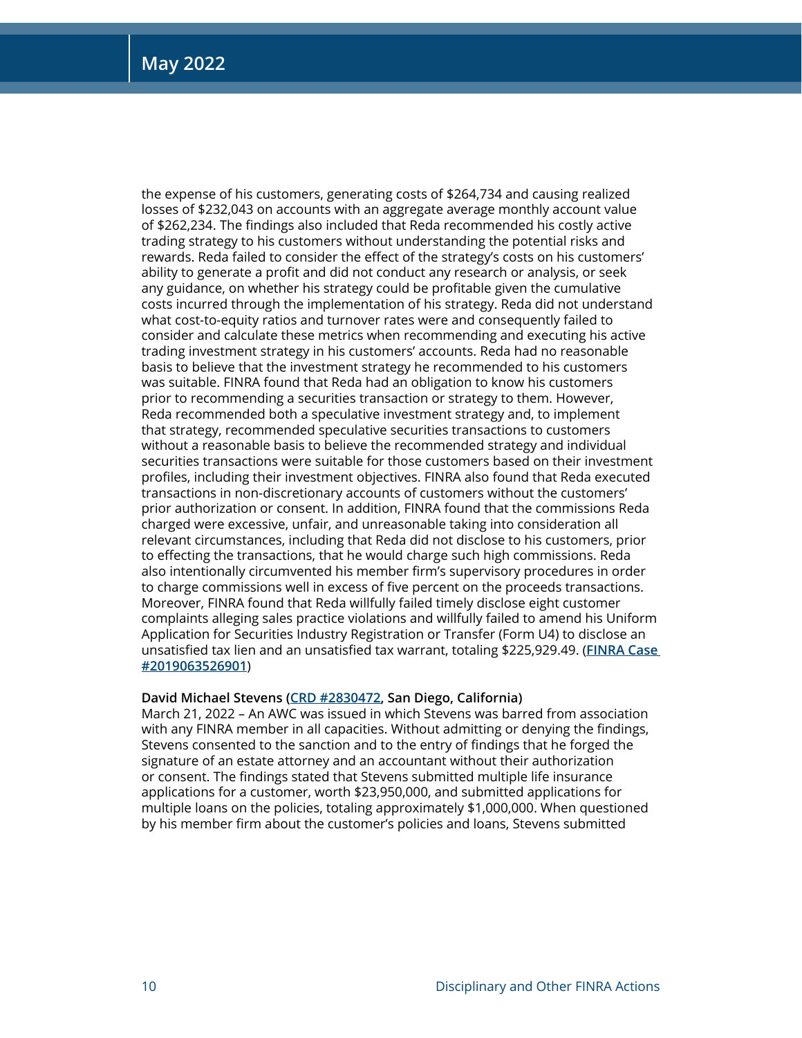the expense of his customers, generating costs of \$264,734 and causing realized losses of \$232,043 on accounts with an aggregate average monthly account value of \$262,234. The findings also included that Reda recommended his costly active trading strategy to his customers without understanding the potential risks and rewards. Reda failed to consider the effect of the strategy's costs on his customers' ability to generate a profit and did not conduct any research or analysis, or seek any guidance, on whether his strategy could be profitable given the cumulative costs incurred through the implementation of his strategy. Reda did not understand what cost-to-equity ratios and turnover rates were and consequently failed to consider and calculate these metrics when recommending and executing his active trading investment strategy in his customers' accounts. Reda had no reasonable basis to believe that the investment strategy he recommended to his customers was suitable. FINRA found that Reda had an obligation to know his customers prior to recommending a securities transaction or strategy to them. However, Reda recommended both a speculative investment strategy and, to implement that strategy, recommended speculative securities transactions to customers without a reasonable basis to believe the recommended strategy and individual securities transactions were suitable for those customers based on their investment profiles, including their investment objectives. FINRA also found that Reda executed transactions in non-discretionary accounts of customers without the customers' prior authorization or consent. In addition, FINRA found that the commissions Reda charged were excessive, unfair, and unreasonable taking into consideration all relevant circumstances, including that Reda did not disclose to his customers, prior to effecting the transactions, that he would charge such high commissions. Reda also intentionally circumvented his member firm's supervisory procedures in order to charge commissions well in excess of five percent on the proceeds transactions. Moreover, FINRA found that Reda willfully failed timely disclose eight customer complaints alleging sales practice violations and willfully failed to amend his Uniform Application for Securities Industry Registration or Transfer (Form U4) to disclose an unsatisfied tax lien and an unsatisfied tax warrant, totaling \$225,929.49. (**[FINRA Case](https://www.finra.org/rules-guidance/oversight-enforcement/finra-disciplinary-actions?search=2019063526901)  [#2019063526901](https://www.finra.org/rules-guidance/oversight-enforcement/finra-disciplinary-actions?search=2019063526901)**)

## **David Michael Stevens ([CRD #2830472,](http://brokercheck.finra.org/individual/summary/2830472) San Diego, California)**

March 21, 2022 – An AWC was issued in which Stevens was barred from association with any FINRA member in all capacities. Without admitting or denying the findings, Stevens consented to the sanction and to the entry of findings that he forged the signature of an estate attorney and an accountant without their authorization or consent. The findings stated that Stevens submitted multiple life insurance applications for a customer, worth \$23,950,000, and submitted applications for multiple loans on the policies, totaling approximately \$1,000,000. When questioned by his member firm about the customer's policies and loans, Stevens submitted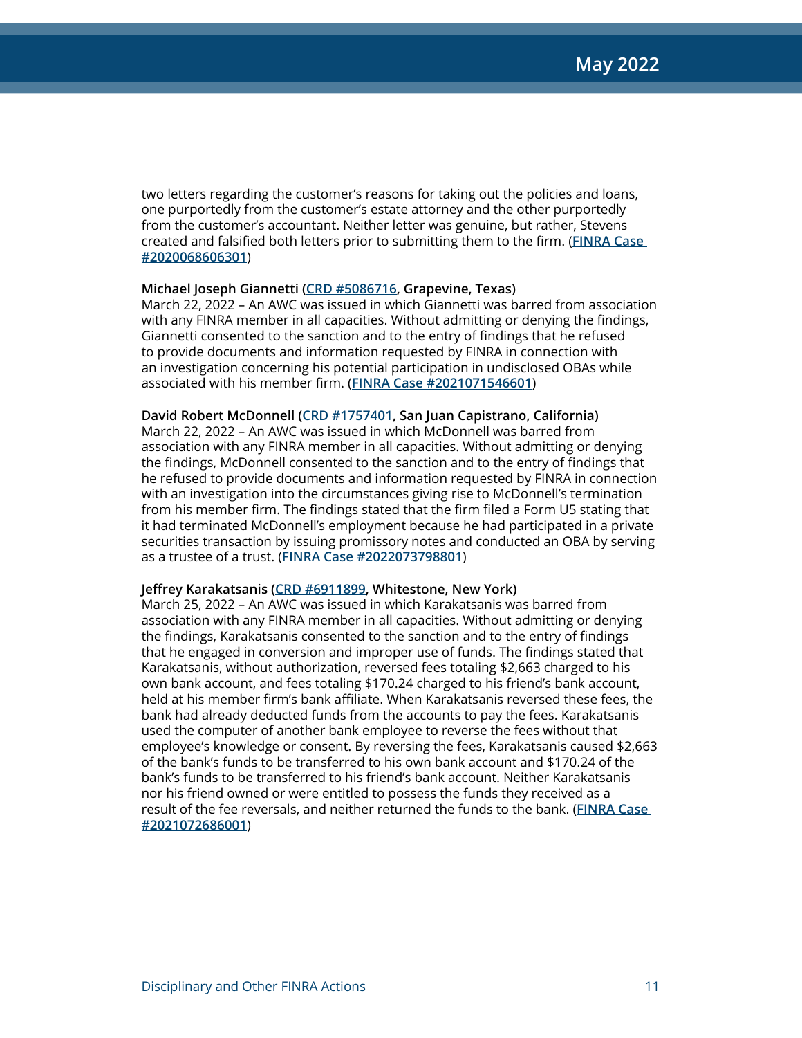two letters regarding the customer's reasons for taking out the policies and loans, one purportedly from the customer's estate attorney and the other purportedly from the customer's accountant. Neither letter was genuine, but rather, Stevens created and falsified both letters prior to submitting them to the firm. (**[FINRA Case](https://www.finra.org/rules-guidance/oversight-enforcement/finra-disciplinary-actions?search=2020068606301)  [#2020068606301](https://www.finra.org/rules-guidance/oversight-enforcement/finra-disciplinary-actions?search=2020068606301)**)

## **Michael Joseph Giannetti ([CRD #5086716,](http://brokercheck.finra.org/individual/summary/5086716) Grapevine, Texas)**

March 22, 2022 – An AWC was issued in which Giannetti was barred from association with any FINRA member in all capacities. Without admitting or denying the findings, Giannetti consented to the sanction and to the entry of findings that he refused to provide documents and information requested by FINRA in connection with an investigation concerning his potential participation in undisclosed OBAs while associated with his member firm. (**[FINRA Case #2021071546601](https://www.finra.org/rules-guidance/oversight-enforcement/finra-disciplinary-actions?search=2021071546601)**)

## **David Robert McDonnell ([CRD #1757401,](http://brokercheck.finra.org/individual/summary/1757401) San Juan Capistrano, California)**

March 22, 2022 – An AWC was issued in which McDonnell was barred from association with any FINRA member in all capacities. Without admitting or denying the findings, McDonnell consented to the sanction and to the entry of findings that he refused to provide documents and information requested by FINRA in connection with an investigation into the circumstances giving rise to McDonnell's termination from his member firm. The findings stated that the firm filed a Form U5 stating that it had terminated McDonnell's employment because he had participated in a private securities transaction by issuing promissory notes and conducted an OBA by serving as a trustee of a trust. (**[FINRA Case #2022073798801](https://www.finra.org/rules-guidance/oversight-enforcement/finra-disciplinary-actions?search=2022073798801)**)

## **Jeffrey Karakatsanis [\(CRD #6911899](http://brokercheck.finra.org/individual/summary/6911899), Whitestone, New York)**

March 25, 2022 – An AWC was issued in which Karakatsanis was barred from association with any FINRA member in all capacities. Without admitting or denying the findings, Karakatsanis consented to the sanction and to the entry of findings that he engaged in conversion and improper use of funds. The findings stated that Karakatsanis, without authorization, reversed fees totaling \$2,663 charged to his own bank account, and fees totaling \$170.24 charged to his friend's bank account, held at his member firm's bank affiliate. When Karakatsanis reversed these fees, the bank had already deducted funds from the accounts to pay the fees. Karakatsanis used the computer of another bank employee to reverse the fees without that employee's knowledge or consent. By reversing the fees, Karakatsanis caused \$2,663 of the bank's funds to be transferred to his own bank account and \$170.24 of the bank's funds to be transferred to his friend's bank account. Neither Karakatsanis nor his friend owned or were entitled to possess the funds they received as a result of the fee reversals, and neither returned the funds to the bank. (**[FINRA Case](https://www.finra.org/rules-guidance/oversight-enforcement/finra-disciplinary-actions?search=2021072686001)  [#2021072686001](https://www.finra.org/rules-guidance/oversight-enforcement/finra-disciplinary-actions?search=2021072686001)**)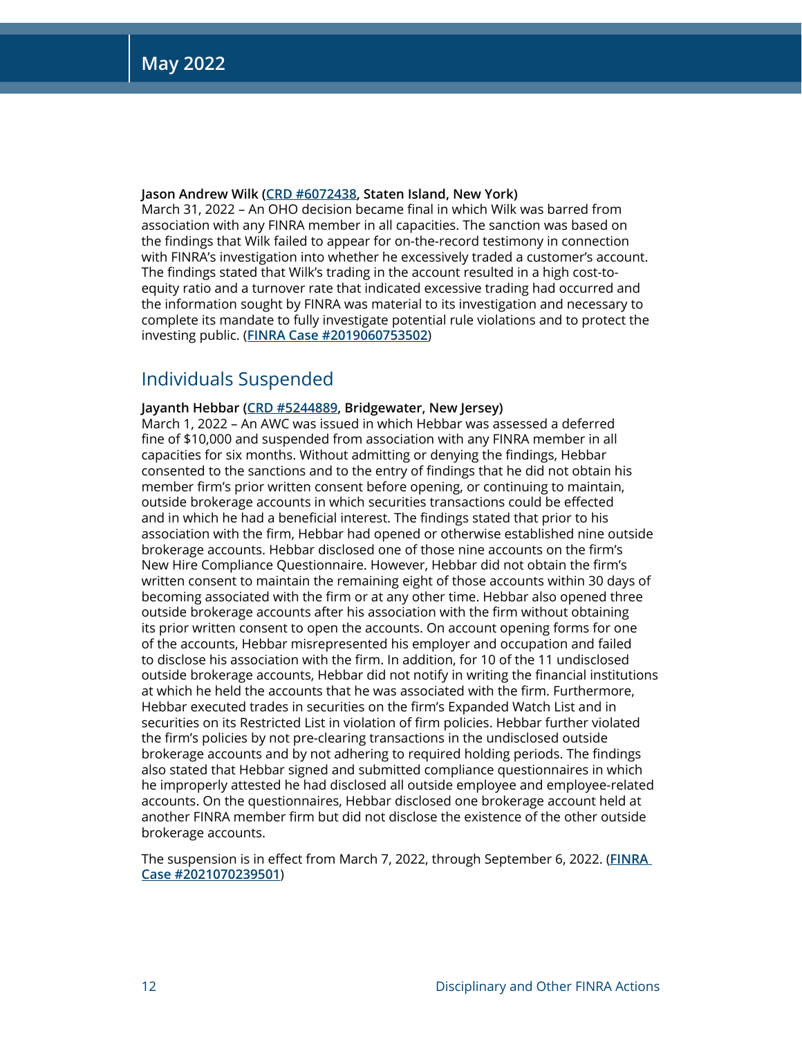## **Jason Andrew Wilk [\(CRD #6072438](http://brokercheck.finra.org/individual/summary/6072438), Staten Island, New York)**

March 31, 2022 – An OHO decision became final in which Wilk was barred from association with any FINRA member in all capacities. The sanction was based on the findings that Wilk failed to appear for on-the-record testimony in connection with FINRA's investigation into whether he excessively traded a customer's account. The findings stated that Wilk's trading in the account resulted in a high cost-toequity ratio and a turnover rate that indicated excessive trading had occurred and the information sought by FINRA was material to its investigation and necessary to complete its mandate to fully investigate potential rule violations and to protect the investing public. (**[FINRA Case #2019060753502](https://www.finra.org/rules-guidance/oversight-enforcement/finra-disciplinary-actions?search=2019060753502)**)

## Individuals Suspended

## **Jayanth Hebbar ([CRD #5244889,](http://brokercheck.finra.org/individual/summary/5244889) Bridgewater, New Jersey)**

March 1, 2022 – An AWC was issued in which Hebbar was assessed a deferred fine of \$10,000 and suspended from association with any FINRA member in all capacities for six months. Without admitting or denying the findings, Hebbar consented to the sanctions and to the entry of findings that he did not obtain his member firm's prior written consent before opening, or continuing to maintain, outside brokerage accounts in which securities transactions could be effected and in which he had a beneficial interest. The findings stated that prior to his association with the firm, Hebbar had opened or otherwise established nine outside brokerage accounts. Hebbar disclosed one of those nine accounts on the firm's New Hire Compliance Questionnaire. However, Hebbar did not obtain the firm's written consent to maintain the remaining eight of those accounts within 30 days of becoming associated with the firm or at any other time. Hebbar also opened three outside brokerage accounts after his association with the firm without obtaining its prior written consent to open the accounts. On account opening forms for one of the accounts, Hebbar misrepresented his employer and occupation and failed to disclose his association with the firm. In addition, for 10 of the 11 undisclosed outside brokerage accounts, Hebbar did not notify in writing the financial institutions at which he held the accounts that he was associated with the firm. Furthermore, Hebbar executed trades in securities on the firm's Expanded Watch List and in securities on its Restricted List in violation of firm policies. Hebbar further violated the firm's policies by not pre-clearing transactions in the undisclosed outside brokerage accounts and by not adhering to required holding periods. The findings also stated that Hebbar signed and submitted compliance questionnaires in which he improperly attested he had disclosed all outside employee and employee-related accounts. On the questionnaires, Hebbar disclosed one brokerage account held at another FINRA member firm but did not disclose the existence of the other outside brokerage accounts.

The suspension is in effect from March 7, 2022, through September 6, 2022. (**[FINRA](https://www.finra.org/rules-guidance/oversight-enforcement/finra-disciplinary-actions?search=2021070239501)  [Case #2021070239501](https://www.finra.org/rules-guidance/oversight-enforcement/finra-disciplinary-actions?search=2021070239501)**)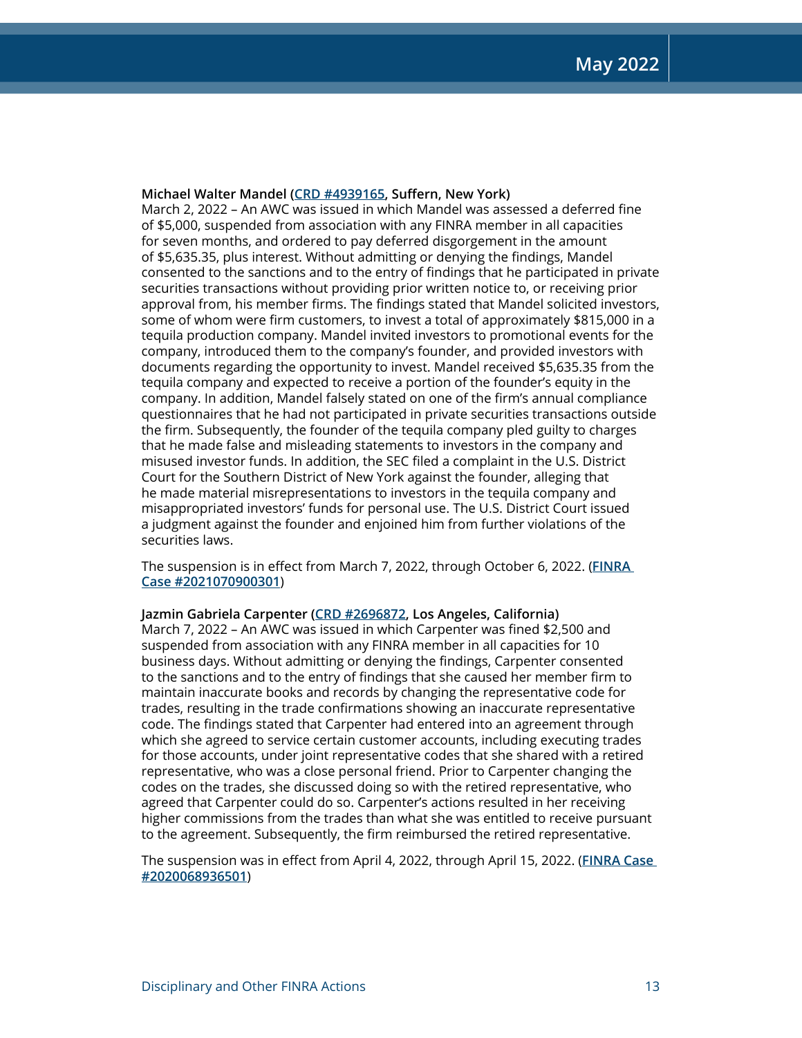## **Michael Walter Mandel ([CRD #4939165,](http://brokercheck.finra.org/individual/summary/4939165) Suffern, New York)**

March 2, 2022 – An AWC was issued in which Mandel was assessed a deferred fine of \$5,000, suspended from association with any FINRA member in all capacities for seven months, and ordered to pay deferred disgorgement in the amount of \$5,635.35, plus interest. Without admitting or denying the findings, Mandel consented to the sanctions and to the entry of findings that he participated in private securities transactions without providing prior written notice to, or receiving prior approval from, his member firms. The findings stated that Mandel solicited investors, some of whom were firm customers, to invest a total of approximately \$815,000 in a tequila production company. Mandel invited investors to promotional events for the company, introduced them to the company's founder, and provided investors with documents regarding the opportunity to invest. Mandel received \$5,635.35 from the tequila company and expected to receive a portion of the founder's equity in the company. In addition, Mandel falsely stated on one of the firm's annual compliance questionnaires that he had not participated in private securities transactions outside the firm. Subsequently, the founder of the tequila company pled guilty to charges that he made false and misleading statements to investors in the company and misused investor funds. In addition, the SEC filed a complaint in the U.S. District Court for the Southern District of New York against the founder, alleging that he made material misrepresentations to investors in the tequila company and misappropriated investors' funds for personal use. The U.S. District Court issued a judgment against the founder and enjoined him from further violations of the securities laws.

The suspension is in effect from March 7, 2022, through October 6, 2022. (**[FINRA](https://www.finra.org/rules-guidance/oversight-enforcement/finra-disciplinary-actions?search=2021070900301)  [Case #2021070900301](https://www.finra.org/rules-guidance/oversight-enforcement/finra-disciplinary-actions?search=2021070900301)**)

## **Jazmin Gabriela Carpenter ([CRD #2696872,](http://brokercheck.finra.org/individual/summary/2696872) Los Angeles, California)**

March 7, 2022 – An AWC was issued in which Carpenter was fined \$2,500 and suspended from association with any FINRA member in all capacities for 10 business days. Without admitting or denying the findings, Carpenter consented to the sanctions and to the entry of findings that she caused her member firm to maintain inaccurate books and records by changing the representative code for trades, resulting in the trade confirmations showing an inaccurate representative code. The findings stated that Carpenter had entered into an agreement through which she agreed to service certain customer accounts, including executing trades for those accounts, under joint representative codes that she shared with a retired representative, who was a close personal friend. Prior to Carpenter changing the codes on the trades, she discussed doing so with the retired representative, who agreed that Carpenter could do so. Carpenter's actions resulted in her receiving higher commissions from the trades than what she was entitled to receive pursuant to the agreement. Subsequently, the firm reimbursed the retired representative.

The suspension was in effect from April 4, 2022, through April 15, 2022. (**[FINRA Case](https://www.finra.org/rules-guidance/oversight-enforcement/finra-disciplinary-actions?search=2020068936501)  [#2020068936501](https://www.finra.org/rules-guidance/oversight-enforcement/finra-disciplinary-actions?search=2020068936501)**)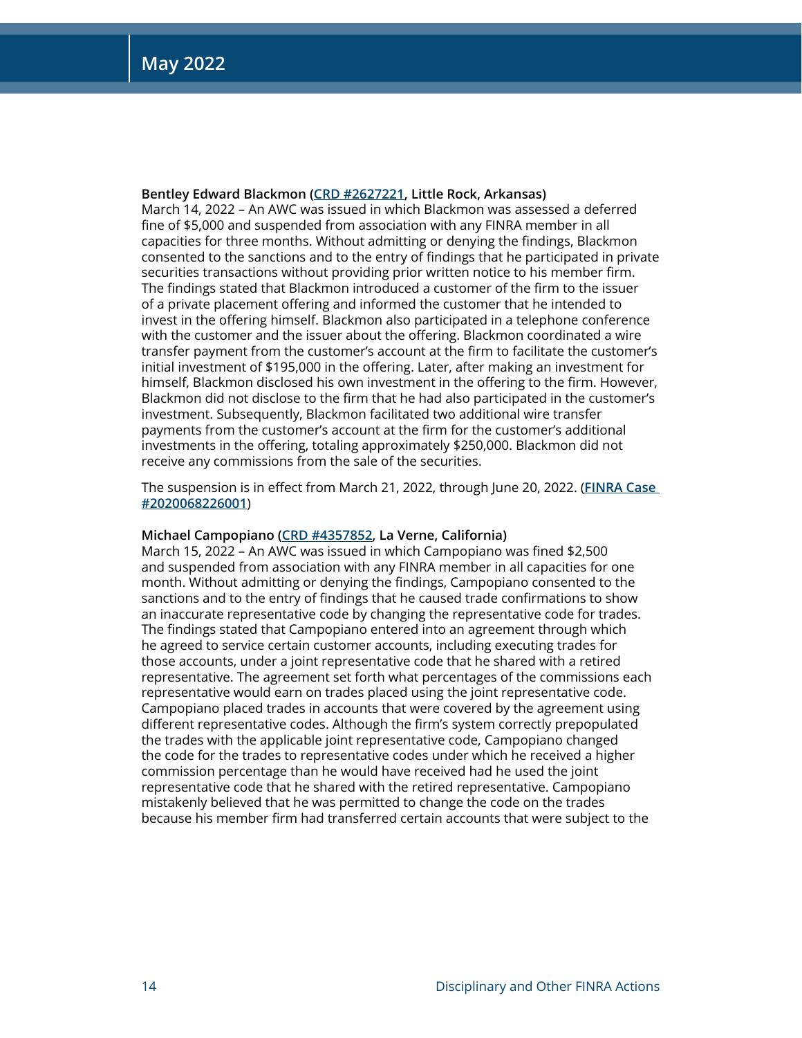## **Bentley Edward Blackmon ([CRD #2627221,](http://brokercheck.finra.org/individual/summary/2627221) Little Rock, Arkansas)**

March 14, 2022 – An AWC was issued in which Blackmon was assessed a deferred fine of \$5,000 and suspended from association with any FINRA member in all capacities for three months. Without admitting or denying the findings, Blackmon consented to the sanctions and to the entry of findings that he participated in private securities transactions without providing prior written notice to his member firm. The findings stated that Blackmon introduced a customer of the firm to the issuer of a private placement offering and informed the customer that he intended to invest in the offering himself. Blackmon also participated in a telephone conference with the customer and the issuer about the offering. Blackmon coordinated a wire transfer payment from the customer's account at the firm to facilitate the customer's initial investment of \$195,000 in the offering. Later, after making an investment for himself, Blackmon disclosed his own investment in the offering to the firm. However, Blackmon did not disclose to the firm that he had also participated in the customer's investment. Subsequently, Blackmon facilitated two additional wire transfer payments from the customer's account at the firm for the customer's additional investments in the offering, totaling approximately \$250,000. Blackmon did not receive any commissions from the sale of the securities.

The suspension is in effect from March 21, 2022, through June 20, 2022. (**[FINRA Case](https://www.finra.org/rules-guidance/oversight-enforcement/finra-disciplinary-actions?search=2020068226001)  [#2020068226001](https://www.finra.org/rules-guidance/oversight-enforcement/finra-disciplinary-actions?search=2020068226001)**)

## **Michael Campopiano [\(CRD #4357852](http://brokercheck.finra.org/individual/summary/4357852), La Verne, California)**

March 15, 2022 – An AWC was issued in which Campopiano was fined \$2,500 and suspended from association with any FINRA member in all capacities for one month. Without admitting or denying the findings, Campopiano consented to the sanctions and to the entry of findings that he caused trade confirmations to show an inaccurate representative code by changing the representative code for trades. The findings stated that Campopiano entered into an agreement through which he agreed to service certain customer accounts, including executing trades for those accounts, under a joint representative code that he shared with a retired representative. The agreement set forth what percentages of the commissions each representative would earn on trades placed using the joint representative code. Campopiano placed trades in accounts that were covered by the agreement using different representative codes. Although the firm's system correctly prepopulated the trades with the applicable joint representative code, Campopiano changed the code for the trades to representative codes under which he received a higher commission percentage than he would have received had he used the joint representative code that he shared with the retired representative. Campopiano mistakenly believed that he was permitted to change the code on the trades because his member firm had transferred certain accounts that were subject to the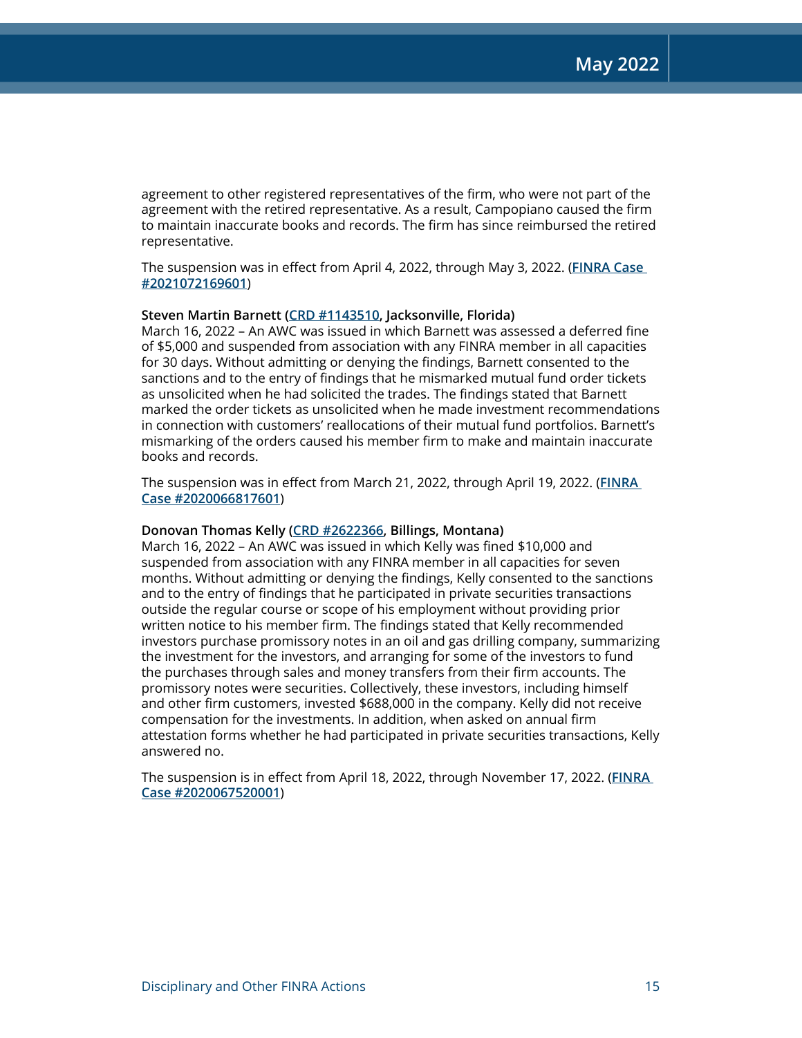agreement to other registered representatives of the firm, who were not part of the agreement with the retired representative. As a result, Campopiano caused the firm to maintain inaccurate books and records. The firm has since reimbursed the retired representative.

The suspension was in effect from April 4, 2022, through May 3, 2022. (**[FINRA Case](https://www.finra.org/rules-guidance/oversight-enforcement/finra-disciplinary-actions?search=2021072169601)  [#2021072169601](https://www.finra.org/rules-guidance/oversight-enforcement/finra-disciplinary-actions?search=2021072169601)**)

## **Steven Martin Barnett ([CRD #1143510,](http://brokercheck.finra.org/individual/summary/1143510) Jacksonville, Florida)**

March 16, 2022 – An AWC was issued in which Barnett was assessed a deferred fine of \$5,000 and suspended from association with any FINRA member in all capacities for 30 days. Without admitting or denying the findings, Barnett consented to the sanctions and to the entry of findings that he mismarked mutual fund order tickets as unsolicited when he had solicited the trades. The findings stated that Barnett marked the order tickets as unsolicited when he made investment recommendations in connection with customers' reallocations of their mutual fund portfolios. Barnett's mismarking of the orders caused his member firm to make and maintain inaccurate books and records.

The suspension was in effect from March 21, 2022, through April 19, 2022. (**[FINRA](https://www.finra.org/rules-guidance/oversight-enforcement/finra-disciplinary-actions?search=2020066817601)  [Case #2020066817601](https://www.finra.org/rules-guidance/oversight-enforcement/finra-disciplinary-actions?search=2020066817601)**)

## **Donovan Thomas Kelly ([CRD #2622366,](http://brokercheck.finra.org/individual/summary/2622366) Billings, Montana)**

March 16, 2022 – An AWC was issued in which Kelly was fined \$10,000 and suspended from association with any FINRA member in all capacities for seven months. Without admitting or denying the findings, Kelly consented to the sanctions and to the entry of findings that he participated in private securities transactions outside the regular course or scope of his employment without providing prior written notice to his member firm. The findings stated that Kelly recommended investors purchase promissory notes in an oil and gas drilling company, summarizing the investment for the investors, and arranging for some of the investors to fund the purchases through sales and money transfers from their firm accounts. The promissory notes were securities. Collectively, these investors, including himself and other firm customers, invested \$688,000 in the company. Kelly did not receive compensation for the investments. In addition, when asked on annual firm attestation forms whether he had participated in private securities transactions, Kelly answered no.

The suspension is in effect from April 18, 2022, through November 17, 2022. (**[FINRA](https://www.finra.org/rules-guidance/oversight-enforcement/finra-disciplinary-actions?search=2020067520001)  [Case #2020067520001](https://www.finra.org/rules-guidance/oversight-enforcement/finra-disciplinary-actions?search=2020067520001)**)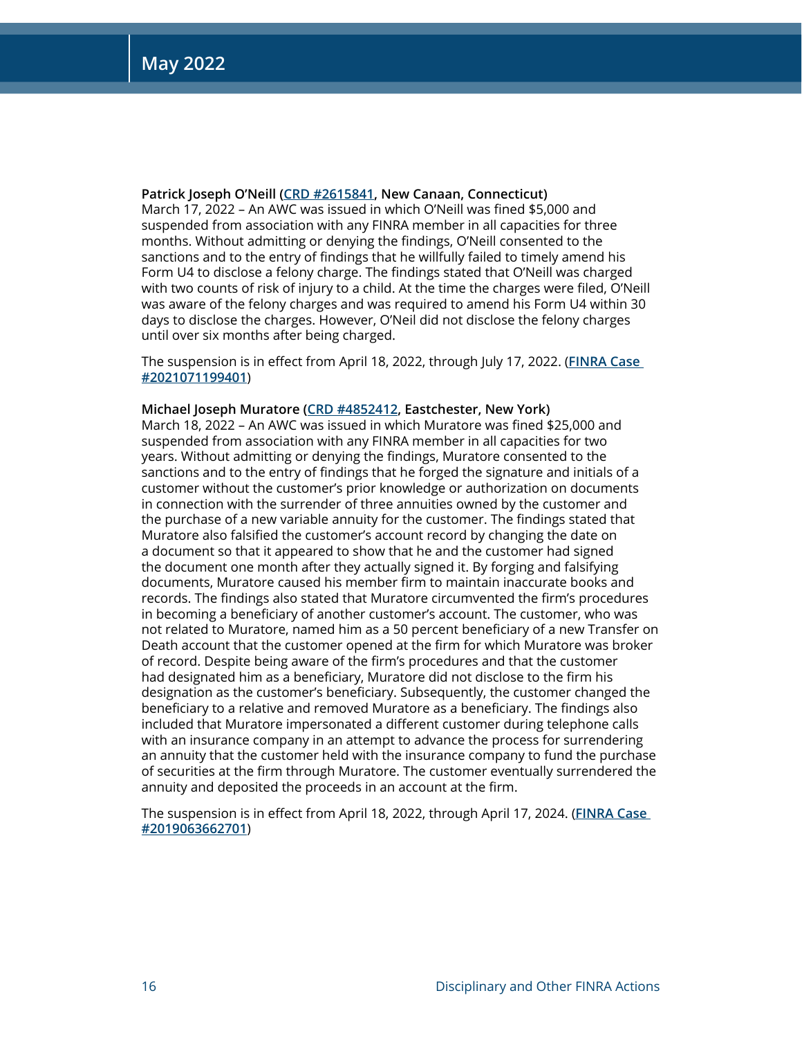**Patrick Joseph O'Neill ([CRD #2615841,](http://brokercheck.finra.org/individual/summary/2615841) New Canaan, Connecticut)**

March 17, 2022 – An AWC was issued in which O'Neill was fined \$5,000 and suspended from association with any FINRA member in all capacities for three months. Without admitting or denying the findings, O'Neill consented to the sanctions and to the entry of findings that he willfully failed to timely amend his Form U4 to disclose a felony charge. The findings stated that O'Neill was charged with two counts of risk of injury to a child. At the time the charges were filed, O'Neill was aware of the felony charges and was required to amend his Form U4 within 30 days to disclose the charges. However, O'Neil did not disclose the felony charges until over six months after being charged.

The suspension is in effect from April 18, 2022, through July 17, 2022. (**[FINRA Case](https://www.finra.org/rules-guidance/oversight-enforcement/finra-disciplinary-actions?search=2021071199401)  [#2021071199401](https://www.finra.org/rules-guidance/oversight-enforcement/finra-disciplinary-actions?search=2021071199401)**)

## **Michael Joseph Muratore ([CRD #4852412,](http://brokercheck.finra.org/individual/summary/4852412) Eastchester, New York)**

March 18, 2022 – An AWC was issued in which Muratore was fined \$25,000 and suspended from association with any FINRA member in all capacities for two years. Without admitting or denying the findings, Muratore consented to the sanctions and to the entry of findings that he forged the signature and initials of a customer without the customer's prior knowledge or authorization on documents in connection with the surrender of three annuities owned by the customer and the purchase of a new variable annuity for the customer. The findings stated that Muratore also falsified the customer's account record by changing the date on a document so that it appeared to show that he and the customer had signed the document one month after they actually signed it. By forging and falsifying documents, Muratore caused his member firm to maintain inaccurate books and records. The findings also stated that Muratore circumvented the firm's procedures in becoming a beneficiary of another customer's account. The customer, who was not related to Muratore, named him as a 50 percent beneficiary of a new Transfer on Death account that the customer opened at the firm for which Muratore was broker of record. Despite being aware of the firm's procedures and that the customer had designated him as a beneficiary, Muratore did not disclose to the firm his designation as the customer's beneficiary. Subsequently, the customer changed the beneficiary to a relative and removed Muratore as a beneficiary. The findings also included that Muratore impersonated a different customer during telephone calls with an insurance company in an attempt to advance the process for surrendering an annuity that the customer held with the insurance company to fund the purchase of securities at the firm through Muratore. The customer eventually surrendered the annuity and deposited the proceeds in an account at the firm.

The suspension is in effect from April 18, 2022, through April 17, 2024. (**[FINRA Case](https://www.finra.org/rules-guidance/oversight-enforcement/finra-disciplinary-actions?search=2019063662701)  [#2019063662701](https://www.finra.org/rules-guidance/oversight-enforcement/finra-disciplinary-actions?search=2019063662701)**)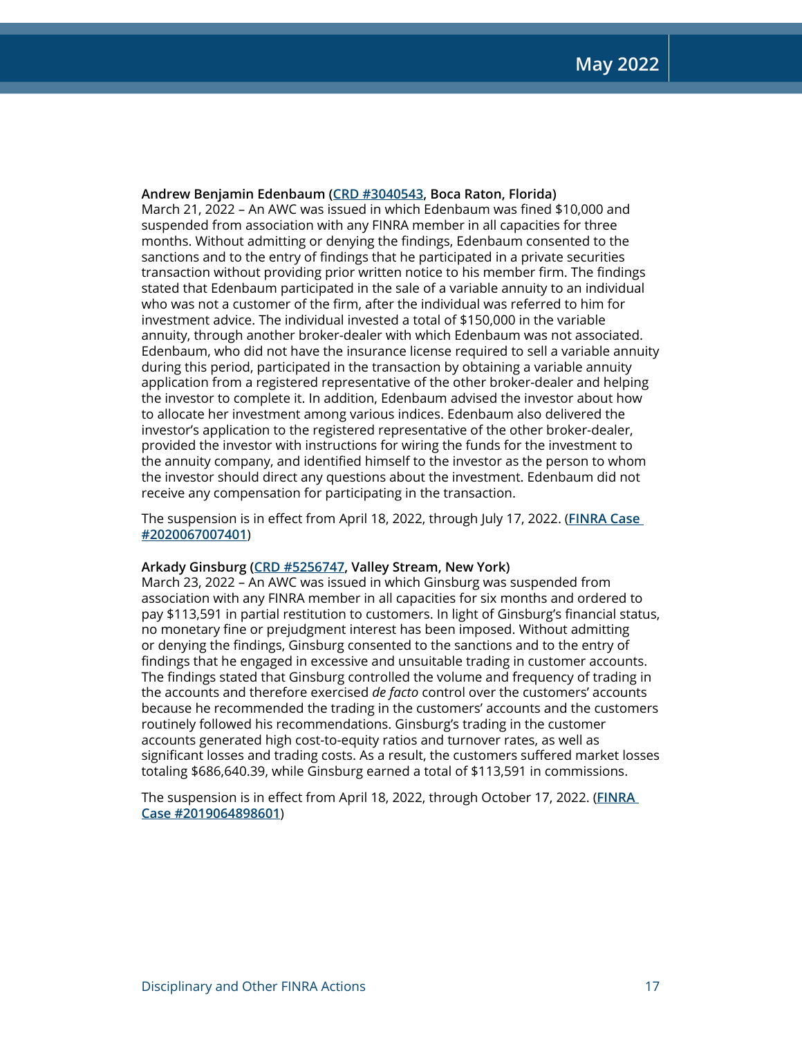**Andrew Benjamin Edenbaum [\(CRD #3040543](http://brokercheck.finra.org/individual/summary/3040543), Boca Raton, Florida)** March 21, 2022 – An AWC was issued in which Edenbaum was fined \$10,000 and suspended from association with any FINRA member in all capacities for three months. Without admitting or denying the findings, Edenbaum consented to the sanctions and to the entry of findings that he participated in a private securities transaction without providing prior written notice to his member firm. The findings stated that Edenbaum participated in the sale of a variable annuity to an individual who was not a customer of the firm, after the individual was referred to him for investment advice. The individual invested a total of \$150,000 in the variable annuity, through another broker-dealer with which Edenbaum was not associated. Edenbaum, who did not have the insurance license required to sell a variable annuity during this period, participated in the transaction by obtaining a variable annuity application from a registered representative of the other broker-dealer and helping the investor to complete it. In addition, Edenbaum advised the investor about how to allocate her investment among various indices. Edenbaum also delivered the investor's application to the registered representative of the other broker-dealer, provided the investor with instructions for wiring the funds for the investment to the annuity company, and identified himself to the investor as the person to whom the investor should direct any questions about the investment. Edenbaum did not receive any compensation for participating in the transaction.

The suspension is in effect from April 18, 2022, through July 17, 2022. (**[FINRA Case](https://www.finra.org/rules-guidance/oversight-enforcement/finra-disciplinary-actions?search=2020067007401)  [#2020067007401](https://www.finra.org/rules-guidance/oversight-enforcement/finra-disciplinary-actions?search=2020067007401)**)

## **Arkady Ginsburg [\(CRD #5256747](http://brokercheck.finra.org/individual/summary/5256747), Valley Stream, New York)**

March 23, 2022 – An AWC was issued in which Ginsburg was suspended from association with any FINRA member in all capacities for six months and ordered to pay \$113,591 in partial restitution to customers. In light of Ginsburg's financial status, no monetary fine or prejudgment interest has been imposed. Without admitting or denying the findings, Ginsburg consented to the sanctions and to the entry of findings that he engaged in excessive and unsuitable trading in customer accounts. The findings stated that Ginsburg controlled the volume and frequency of trading in the accounts and therefore exercised *de facto* control over the customers' accounts because he recommended the trading in the customers' accounts and the customers routinely followed his recommendations. Ginsburg's trading in the customer accounts generated high cost-to-equity ratios and turnover rates, as well as significant losses and trading costs. As a result, the customers suffered market losses totaling \$686,640.39, while Ginsburg earned a total of \$113,591 in commissions.

The suspension is in effect from April 18, 2022, through October 17, 2022. (**[FINRA](https://www.finra.org/rules-guidance/oversight-enforcement/finra-disciplinary-actions?search=2019064898601)  [Case #2019064898601](https://www.finra.org/rules-guidance/oversight-enforcement/finra-disciplinary-actions?search=2019064898601)**)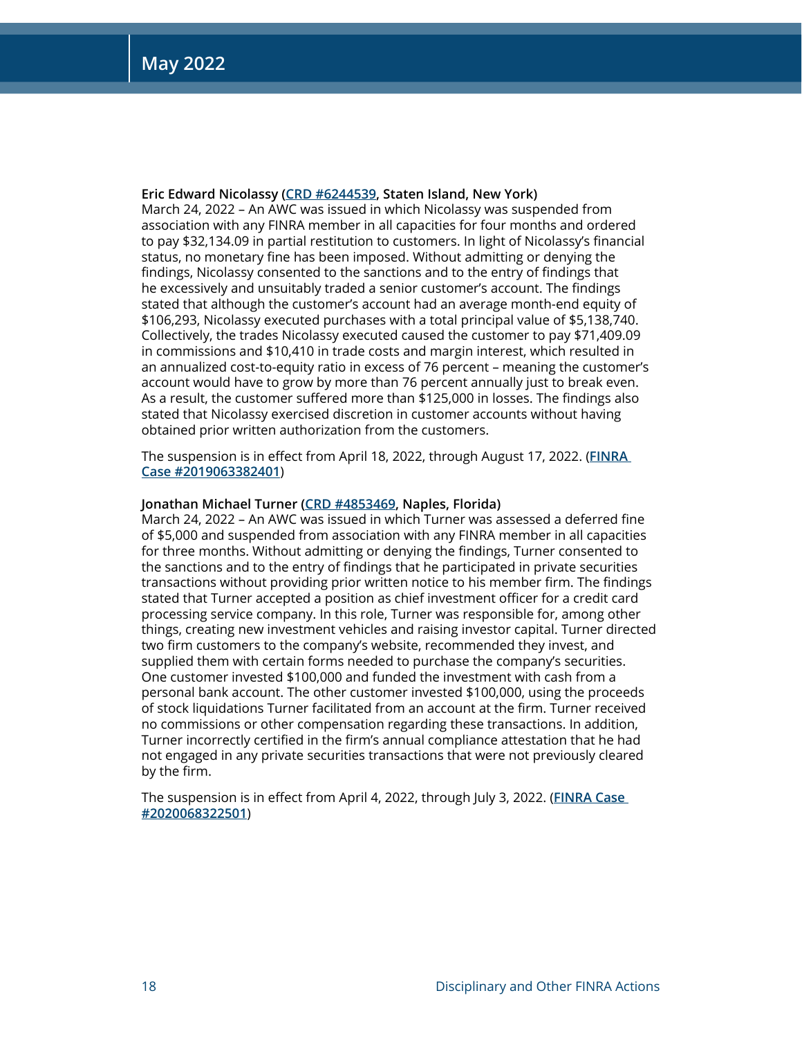## **Eric Edward Nicolassy [\(CRD #6244539](http://brokercheck.finra.org/individual/summary/6244539), Staten Island, New York)**

March 24, 2022 – An AWC was issued in which Nicolassy was suspended from association with any FINRA member in all capacities for four months and ordered to pay \$32,134.09 in partial restitution to customers. In light of Nicolassy's financial status, no monetary fine has been imposed. Without admitting or denying the findings, Nicolassy consented to the sanctions and to the entry of findings that he excessively and unsuitably traded a senior customer's account. The findings stated that although the customer's account had an average month-end equity of \$106,293, Nicolassy executed purchases with a total principal value of \$5,138,740. Collectively, the trades Nicolassy executed caused the customer to pay \$71,409.09 in commissions and \$10,410 in trade costs and margin interest, which resulted in an annualized cost-to-equity ratio in excess of 76 percent – meaning the customer's account would have to grow by more than 76 percent annually just to break even. As a result, the customer suffered more than \$125,000 in losses. The findings also stated that Nicolassy exercised discretion in customer accounts without having obtained prior written authorization from the customers.

The suspension is in effect from April 18, 2022, through August 17, 2022. (**[FINRA](https://www.finra.org/rules-guidance/oversight-enforcement/finra-disciplinary-actions?search=2019063382401)  [Case #2019063382401](https://www.finra.org/rules-guidance/oversight-enforcement/finra-disciplinary-actions?search=2019063382401)**)

## **Jonathan Michael Turner [\(CRD #4853469](http://brokercheck.finra.org/individual/summary/4853469), Naples, Florida)**

March 24, 2022 – An AWC was issued in which Turner was assessed a deferred fine of \$5,000 and suspended from association with any FINRA member in all capacities for three months. Without admitting or denying the findings, Turner consented to the sanctions and to the entry of findings that he participated in private securities transactions without providing prior written notice to his member firm. The findings stated that Turner accepted a position as chief investment officer for a credit card processing service company. In this role, Turner was responsible for, among other things, creating new investment vehicles and raising investor capital. Turner directed two firm customers to the company's website, recommended they invest, and supplied them with certain forms needed to purchase the company's securities. One customer invested \$100,000 and funded the investment with cash from a personal bank account. The other customer invested \$100,000, using the proceeds of stock liquidations Turner facilitated from an account at the firm. Turner received no commissions or other compensation regarding these transactions. In addition, Turner incorrectly certified in the firm's annual compliance attestation that he had not engaged in any private securities transactions that were not previously cleared by the firm.

The suspension is in effect from April 4, 2022, through July 3, 2022. (**[FINRA Case](https://www.finra.org/rules-guidance/oversight-enforcement/finra-disciplinary-actions?search=2020068322501)  [#2020068322501](https://www.finra.org/rules-guidance/oversight-enforcement/finra-disciplinary-actions?search=2020068322501)**)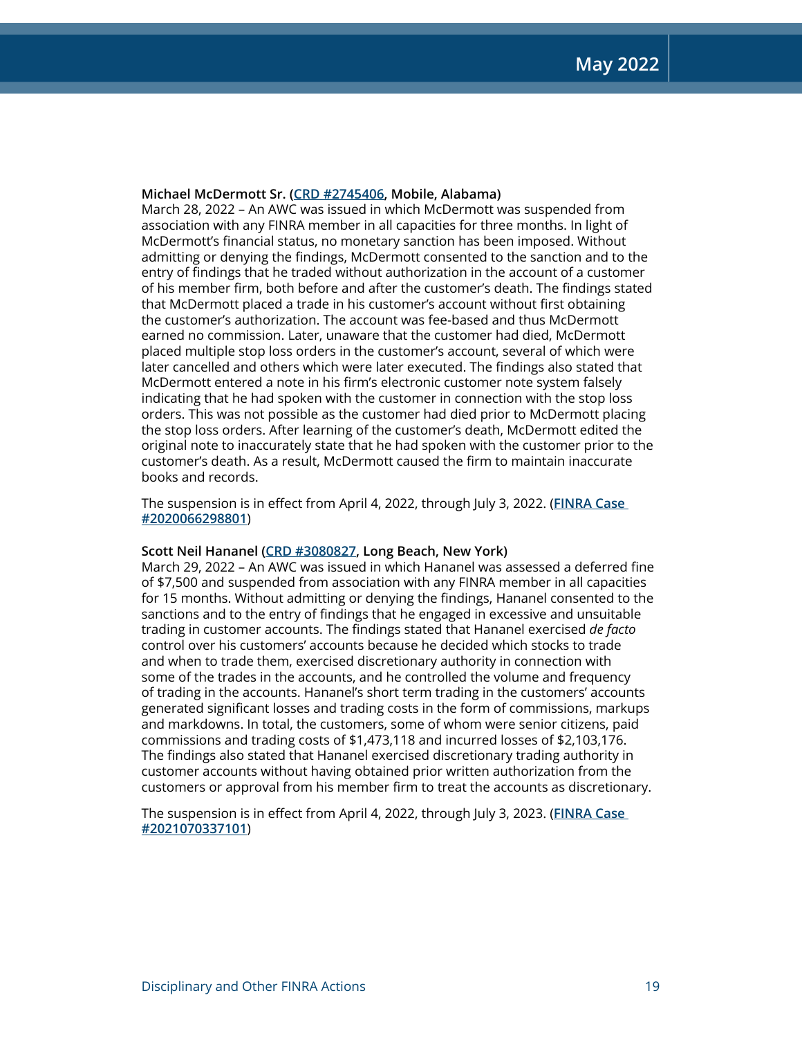## **Michael McDermott Sr. [\(CRD #2745406](http://brokercheck.finra.org/individual/summary/2745406), Mobile, Alabama)**

March 28, 2022 – An AWC was issued in which McDermott was suspended from association with any FINRA member in all capacities for three months. In light of McDermott's financial status, no monetary sanction has been imposed. Without admitting or denying the findings, McDermott consented to the sanction and to the entry of findings that he traded without authorization in the account of a customer of his member firm, both before and after the customer's death. The findings stated that McDermott placed a trade in his customer's account without first obtaining the customer's authorization. The account was fee-based and thus McDermott earned no commission. Later, unaware that the customer had died, McDermott placed multiple stop loss orders in the customer's account, several of which were later cancelled and others which were later executed. The findings also stated that McDermott entered a note in his firm's electronic customer note system falsely indicating that he had spoken with the customer in connection with the stop loss orders. This was not possible as the customer had died prior to McDermott placing the stop loss orders. After learning of the customer's death, McDermott edited the original note to inaccurately state that he had spoken with the customer prior to the customer's death. As a result, McDermott caused the firm to maintain inaccurate books and records.

The suspension is in effect from April 4, 2022, through July 3, 2022. (**[FINRA Case](https://www.finra.org/rules-guidance/oversight-enforcement/finra-disciplinary-actions?search=2020066298801)  [#2020066298801](https://www.finra.org/rules-guidance/oversight-enforcement/finra-disciplinary-actions?search=2020066298801)**)

## **Scott Neil Hananel ([CRD #3080827,](http://brokercheck.finra.org/individual/summary/3080827) Long Beach, New York)**

March 29, 2022 – An AWC was issued in which Hananel was assessed a deferred fine of \$7,500 and suspended from association with any FINRA member in all capacities for 15 months. Without admitting or denying the findings, Hananel consented to the sanctions and to the entry of findings that he engaged in excessive and unsuitable trading in customer accounts. The findings stated that Hananel exercised *de facto* control over his customers' accounts because he decided which stocks to trade and when to trade them, exercised discretionary authority in connection with some of the trades in the accounts, and he controlled the volume and frequency of trading in the accounts. Hananel's short term trading in the customers' accounts generated significant losses and trading costs in the form of commissions, markups and markdowns. In total, the customers, some of whom were senior citizens, paid commissions and trading costs of \$1,473,118 and incurred losses of \$2,103,176. The findings also stated that Hananel exercised discretionary trading authority in customer accounts without having obtained prior written authorization from the customers or approval from his member firm to treat the accounts as discretionary.

The suspension is in effect from April 4, 2022, through July 3, 2023. (**[FINRA Case](https://www.finra.org/rules-guidance/oversight-enforcement/finra-disciplinary-actions?search=2021070337101)  [#2021070337101](https://www.finra.org/rules-guidance/oversight-enforcement/finra-disciplinary-actions?search=2021070337101)**)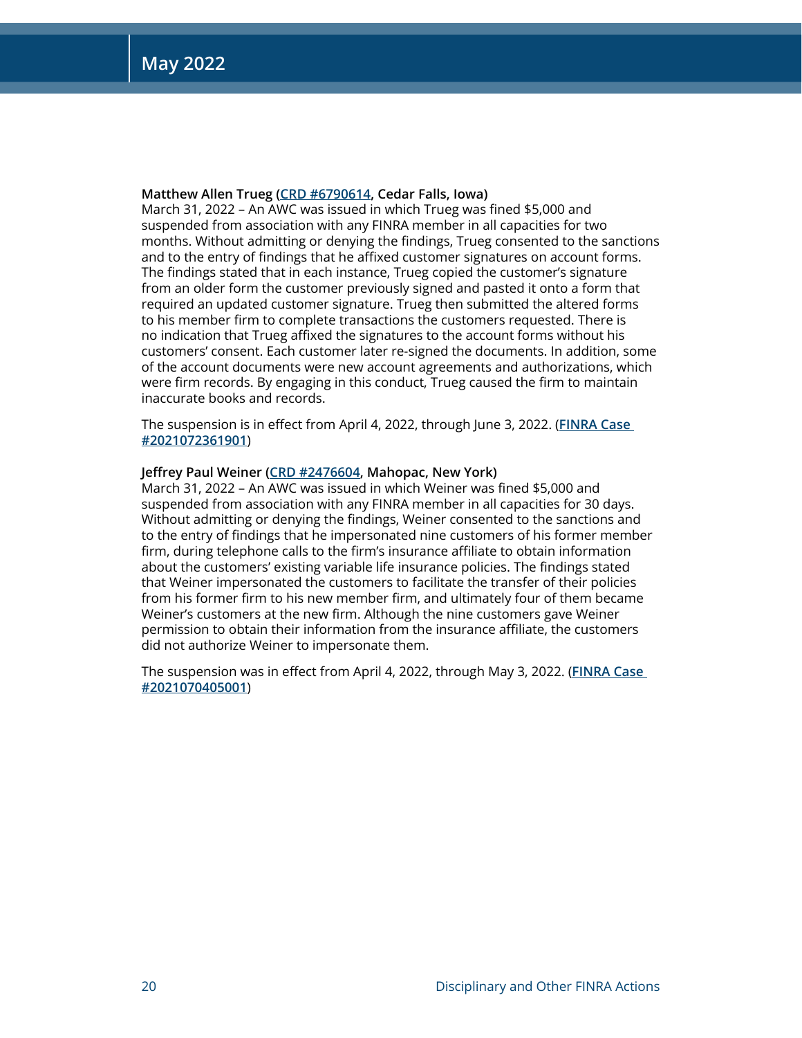## **Matthew Allen Trueg [\(CRD #6790614](http://brokercheck.finra.org/individual/summary/6790614), Cedar Falls, Iowa)**

March 31, 2022 – An AWC was issued in which Trueg was fined \$5,000 and suspended from association with any FINRA member in all capacities for two months. Without admitting or denying the findings, Trueg consented to the sanctions and to the entry of findings that he affixed customer signatures on account forms. The findings stated that in each instance, Trueg copied the customer's signature from an older form the customer previously signed and pasted it onto a form that required an updated customer signature. Trueg then submitted the altered forms to his member firm to complete transactions the customers requested. There is no indication that Trueg affixed the signatures to the account forms without his customers' consent. Each customer later re-signed the documents. In addition, some of the account documents were new account agreements and authorizations, which were firm records. By engaging in this conduct, Trueg caused the firm to maintain inaccurate books and records.

The suspension is in effect from April 4, 2022, through June 3, 2022. (**[FINRA Case](https://www.finra.org/rules-guidance/oversight-enforcement/finra-disciplinary-actions?search=2021072361901)  [#2021072361901](https://www.finra.org/rules-guidance/oversight-enforcement/finra-disciplinary-actions?search=2021072361901)**)

## **Jeffrey Paul Weiner ([CRD #2476604](http://brokercheck.finra.org/individual/summary/2476604), Mahopac, New York)**

March 31, 2022 – An AWC was issued in which Weiner was fined \$5,000 and suspended from association with any FINRA member in all capacities for 30 days. Without admitting or denying the findings, Weiner consented to the sanctions and to the entry of findings that he impersonated nine customers of his former member firm, during telephone calls to the firm's insurance affiliate to obtain information about the customers' existing variable life insurance policies. The findings stated that Weiner impersonated the customers to facilitate the transfer of their policies from his former firm to his new member firm, and ultimately four of them became Weiner's customers at the new firm. Although the nine customers gave Weiner permission to obtain their information from the insurance affiliate, the customers did not authorize Weiner to impersonate them.

The suspension was in effect from April 4, 2022, through May 3, 2022. (**[FINRA Case](https://www.finra.org/rules-guidance/oversight-enforcement/finra-disciplinary-actions?search=2021070405001)  [#2021070405001](https://www.finra.org/rules-guidance/oversight-enforcement/finra-disciplinary-actions?search=2021070405001)**)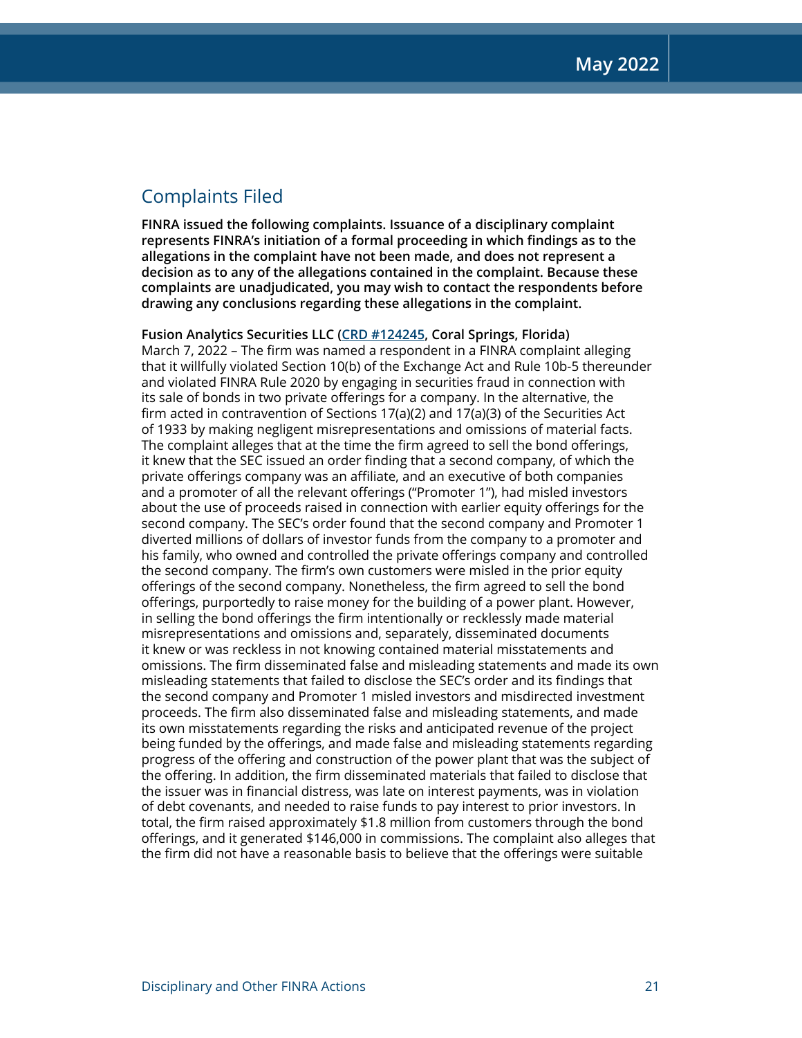## Complaints Filed

**FINRA issued the following complaints. Issuance of a disciplinary complaint represents FINRA's initiation of a formal proceeding in which findings as to the allegations in the complaint have not been made, and does not represent a decision as to any of the allegations contained in the complaint. Because these complaints are unadjudicated, you may wish to contact the respondents before drawing any conclusions regarding these allegations in the complaint.**

**Fusion Analytics Securities LLC [\(CRD #124245](http://brokercheck.finra.org/firm/summary/124245), Coral Springs, Florida)** March 7, 2022 – The firm was named a respondent in a FINRA complaint alleging that it willfully violated Section 10(b) of the Exchange Act and Rule 10b-5 thereunder and violated FINRA Rule 2020 by engaging in securities fraud in connection with its sale of bonds in two private offerings for a company. In the alternative, the firm acted in contravention of Sections 17(a)(2) and 17(a)(3) of the Securities Act of 1933 by making negligent misrepresentations and omissions of material facts. The complaint alleges that at the time the firm agreed to sell the bond offerings, it knew that the SEC issued an order finding that a second company, of which the private offerings company was an affiliate, and an executive of both companies and a promoter of all the relevant offerings ("Promoter 1"), had misled investors about the use of proceeds raised in connection with earlier equity offerings for the second company. The SEC's order found that the second company and Promoter 1 diverted millions of dollars of investor funds from the company to a promoter and his family, who owned and controlled the private offerings company and controlled the second company. The firm's own customers were misled in the prior equity offerings of the second company. Nonetheless, the firm agreed to sell the bond offerings, purportedly to raise money for the building of a power plant. However, in selling the bond offerings the firm intentionally or recklessly made material misrepresentations and omissions and, separately, disseminated documents it knew or was reckless in not knowing contained material misstatements and omissions. The firm disseminated false and misleading statements and made its own misleading statements that failed to disclose the SEC's order and its findings that the second company and Promoter 1 misled investors and misdirected investment proceeds. The firm also disseminated false and misleading statements, and made its own misstatements regarding the risks and anticipated revenue of the project being funded by the offerings, and made false and misleading statements regarding progress of the offering and construction of the power plant that was the subject of the offering. In addition, the firm disseminated materials that failed to disclose that the issuer was in financial distress, was late on interest payments, was in violation of debt covenants, and needed to raise funds to pay interest to prior investors. In total, the firm raised approximately \$1.8 million from customers through the bond offerings, and it generated \$146,000 in commissions. The complaint also alleges that the firm did not have a reasonable basis to believe that the offerings were suitable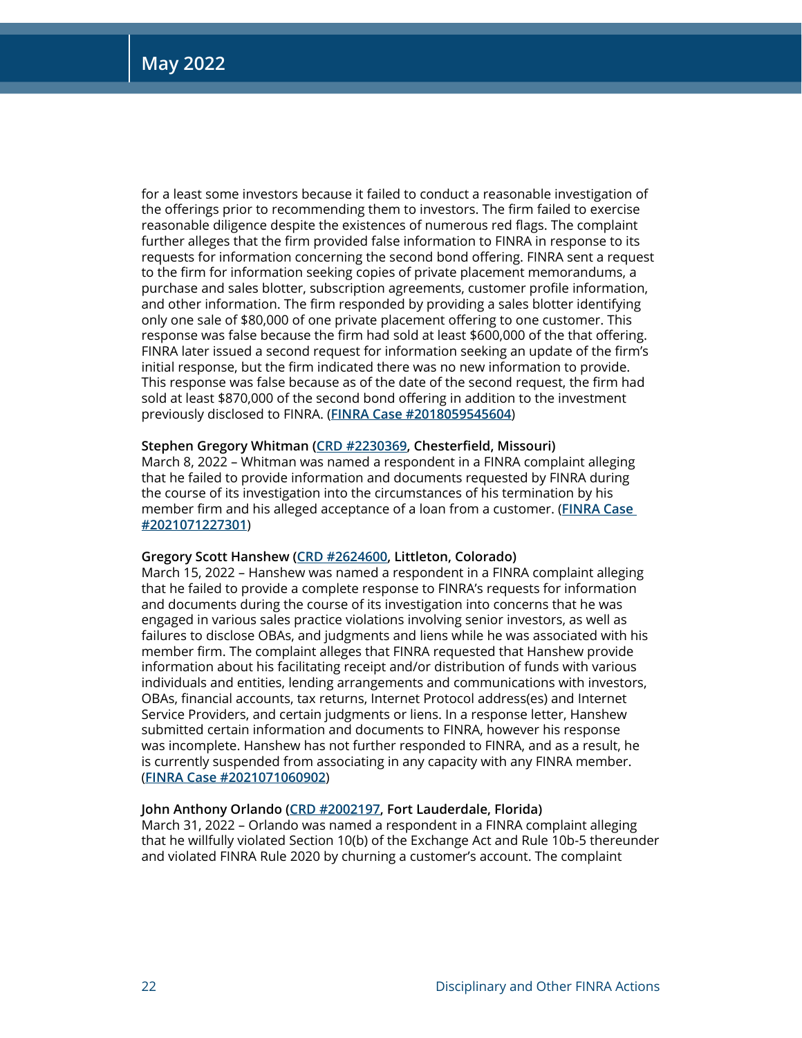for a least some investors because it failed to conduct a reasonable investigation of the offerings prior to recommending them to investors. The firm failed to exercise reasonable diligence despite the existences of numerous red flags. The complaint further alleges that the firm provided false information to FINRA in response to its requests for information concerning the second bond offering. FINRA sent a request to the firm for information seeking copies of private placement memorandums, a purchase and sales blotter, subscription agreements, customer profile information, and other information. The firm responded by providing a sales blotter identifying only one sale of \$80,000 of one private placement offering to one customer. This response was false because the firm had sold at least \$600,000 of the that offering. FINRA later issued a second request for information seeking an update of the firm's initial response, but the firm indicated there was no new information to provide. This response was false because as of the date of the second request, the firm had sold at least \$870,000 of the second bond offering in addition to the investment previously disclosed to FINRA. (**[FINRA Case #2018059545604](https://www.finra.org/rules-guidance/oversight-enforcement/finra-disciplinary-actions?search=2018059545604)**)

## **Stephen Gregory Whitman ([CRD #2230369,](http://brokercheck.finra.org/individual/summary/2230369) Chesterfield, Missouri)**

March 8, 2022 – Whitman was named a respondent in a FINRA complaint alleging that he failed to provide information and documents requested by FINRA during the course of its investigation into the circumstances of his termination by his member firm and his alleged acceptance of a loan from a customer. (**[FINRA Case](https://www.finra.org/rules-guidance/oversight-enforcement/finra-disciplinary-actions?search=2021071227301)  [#2021071227301](https://www.finra.org/rules-guidance/oversight-enforcement/finra-disciplinary-actions?search=2021071227301)**)

## **Gregory Scott Hanshew ([CRD #2624600,](http://brokercheck.finra.org/individual/summary/2624600) Littleton, Colorado)**

March 15, 2022 – Hanshew was named a respondent in a FINRA complaint alleging that he failed to provide a complete response to FINRA's requests for information and documents during the course of its investigation into concerns that he was engaged in various sales practice violations involving senior investors, as well as failures to disclose OBAs, and judgments and liens while he was associated with his member firm. The complaint alleges that FINRA requested that Hanshew provide information about his facilitating receipt and/or distribution of funds with various individuals and entities, lending arrangements and communications with investors, OBAs, financial accounts, tax returns, Internet Protocol address(es) and Internet Service Providers, and certain judgments or liens. In a response letter, Hanshew submitted certain information and documents to FINRA, however his response was incomplete. Hanshew has not further responded to FINRA, and as a result, he is currently suspended from associating in any capacity with any FINRA member. (**[FINRA Case #2021071060902](https://www.finra.org/rules-guidance/oversight-enforcement/finra-disciplinary-actions?search=2021071060902)**)

## **John Anthony Orlando [\(CRD #2002197](http://brokercheck.finra.org/individual/summary/2002197), Fort Lauderdale, Florida)**

March 31, 2022 – Orlando was named a respondent in a FINRA complaint alleging that he willfully violated Section 10(b) of the Exchange Act and Rule 10b-5 thereunder and violated FINRA Rule 2020 by churning a customer's account. The complaint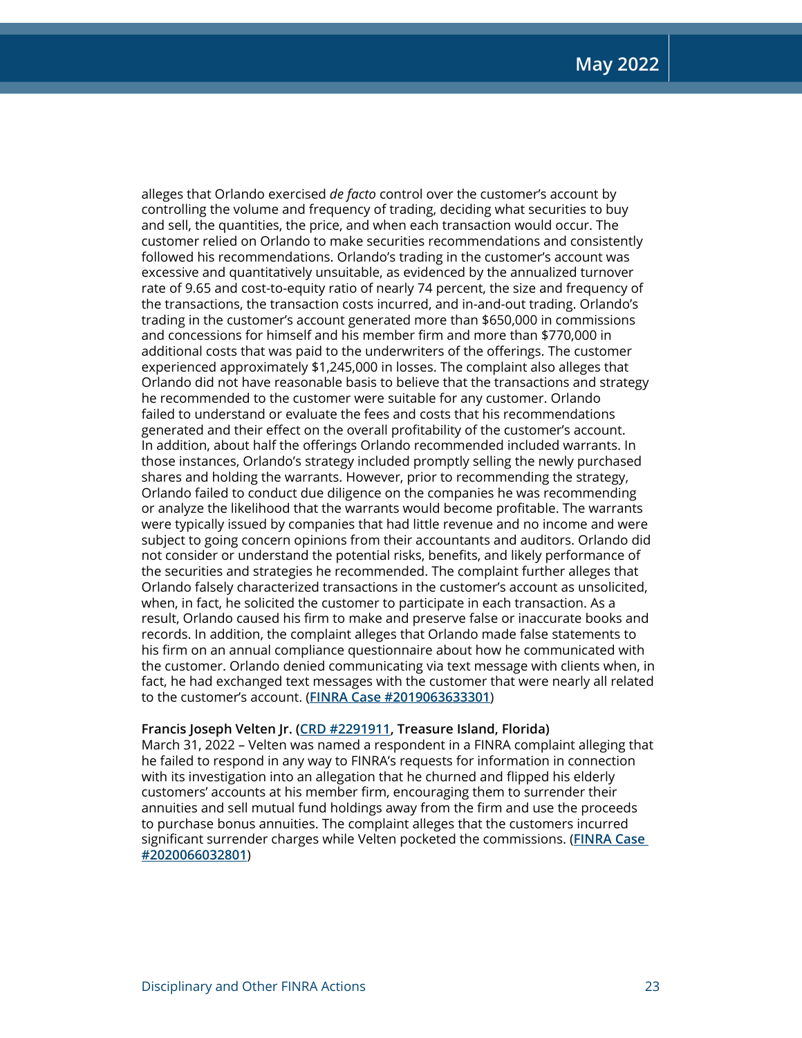alleges that Orlando exercised *de facto* control over the customer's account by controlling the volume and frequency of trading, deciding what securities to buy and sell, the quantities, the price, and when each transaction would occur. The customer relied on Orlando to make securities recommendations and consistently followed his recommendations. Orlando's trading in the customer's account was excessive and quantitatively unsuitable, as evidenced by the annualized turnover rate of 9.65 and cost-to-equity ratio of nearly 74 percent, the size and frequency of the transactions, the transaction costs incurred, and in-and-out trading. Orlando's trading in the customer's account generated more than \$650,000 in commissions and concessions for himself and his member firm and more than \$770,000 in additional costs that was paid to the underwriters of the offerings. The customer experienced approximately \$1,245,000 in losses. The complaint also alleges that Orlando did not have reasonable basis to believe that the transactions and strategy he recommended to the customer were suitable for any customer. Orlando failed to understand or evaluate the fees and costs that his recommendations generated and their effect on the overall profitability of the customer's account. In addition, about half the offerings Orlando recommended included warrants. In those instances, Orlando's strategy included promptly selling the newly purchased shares and holding the warrants. However, prior to recommending the strategy, Orlando failed to conduct due diligence on the companies he was recommending or analyze the likelihood that the warrants would become profitable. The warrants were typically issued by companies that had little revenue and no income and were subject to going concern opinions from their accountants and auditors. Orlando did not consider or understand the potential risks, benefits, and likely performance of the securities and strategies he recommended. The complaint further alleges that Orlando falsely characterized transactions in the customer's account as unsolicited, when, in fact, he solicited the customer to participate in each transaction. As a result, Orlando caused his firm to make and preserve false or inaccurate books and records. In addition, the complaint alleges that Orlando made false statements to his firm on an annual compliance questionnaire about how he communicated with the customer. Orlando denied communicating via text message with clients when, in fact, he had exchanged text messages with the customer that were nearly all related to the customer's account. (**[FINRA Case #2019063633301](https://www.finra.org/rules-guidance/oversight-enforcement/finra-disciplinary-actions?search=2019063633301)**)

## **Francis Joseph Velten Jr. [\(CRD #2291911](http://brokercheck.finra.org/individual/summary/2291911), Treasure Island, Florida)**

March 31, 2022 – Velten was named a respondent in a FINRA complaint alleging that he failed to respond in any way to FINRA's requests for information in connection with its investigation into an allegation that he churned and flipped his elderly customers' accounts at his member firm, encouraging them to surrender their annuities and sell mutual fund holdings away from the firm and use the proceeds to purchase bonus annuities. The complaint alleges that the customers incurred significant surrender charges while Velten pocketed the commissions. (**[FINRA Case](https://www.finra.org/rules-guidance/oversight-enforcement/finra-disciplinary-actions?search=2020066032801)  [#2020066032801](https://www.finra.org/rules-guidance/oversight-enforcement/finra-disciplinary-actions?search=2020066032801)**)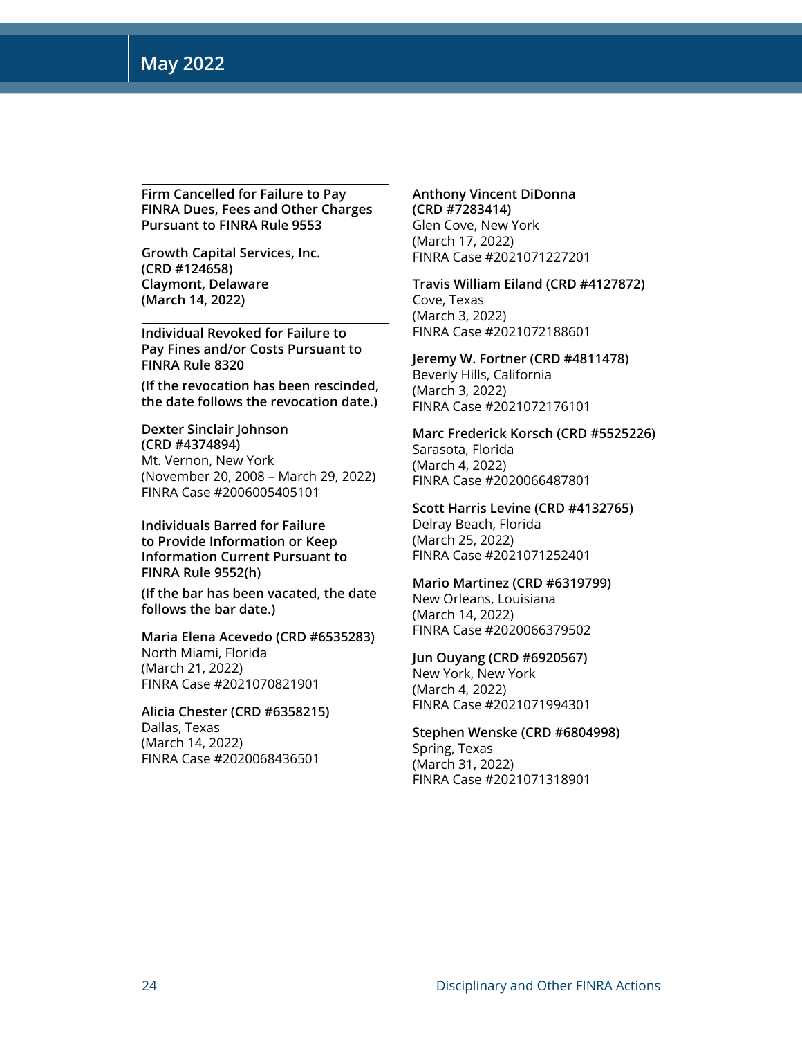**Firm Cancelled for Failure to Pay FINRA Dues, Fees and Other Charges Pursuant to FINRA Rule 9553**

**Growth Capital Services, Inc. (CRD #124658) Claymont, Delaware (March 14, 2022)**

**Individual Revoked for Failure to Pay Fines and/or Costs Pursuant to FINRA Rule 8320** 

**(If the revocation has been rescinded, the date follows the revocation date.)**

**Dexter Sinclair Johnson (CRD #4374894)** Mt. Vernon, New York (November 20, 2008 – March 29, 2022) FINRA Case #2006005405101

**Individuals Barred for Failure to Provide Information or Keep Information Current Pursuant to FINRA Rule 9552(h)** 

**(If the bar has been vacated, the date follows the bar date.)**

**Maria Elena Acevedo (CRD #6535283)** North Miami, Florida (March 21, 2022) FINRA Case #2021070821901

**Alicia Chester (CRD #6358215)** Dallas, Texas (March 14, 2022) FINRA Case #2020068436501

**Anthony Vincent DiDonna (CRD #7283414)** Glen Cove, New York (March 17, 2022) FINRA Case #2021071227201

**Travis William Eiland (CRD #4127872)** Cove, Texas (March 3, 2022) FINRA Case #2021072188601

**Jeremy W. Fortner (CRD #4811478)** Beverly Hills, California (March 3, 2022) FINRA Case #2021072176101

**Marc Frederick Korsch (CRD #5525226)** Sarasota, Florida (March 4, 2022) FINRA Case #2020066487801

**Scott Harris Levine (CRD #4132765)** Delray Beach, Florida (March 25, 2022) FINRA Case #2021071252401

**Mario Martinez (CRD #6319799)** New Orleans, Louisiana (March 14, 2022) FINRA Case #2020066379502

**Jun Ouyang (CRD #6920567)** New York, New York (March 4, 2022) FINRA Case #2021071994301

**Stephen Wenske (CRD #6804998)** Spring, Texas (March 31, 2022) FINRA Case #2021071318901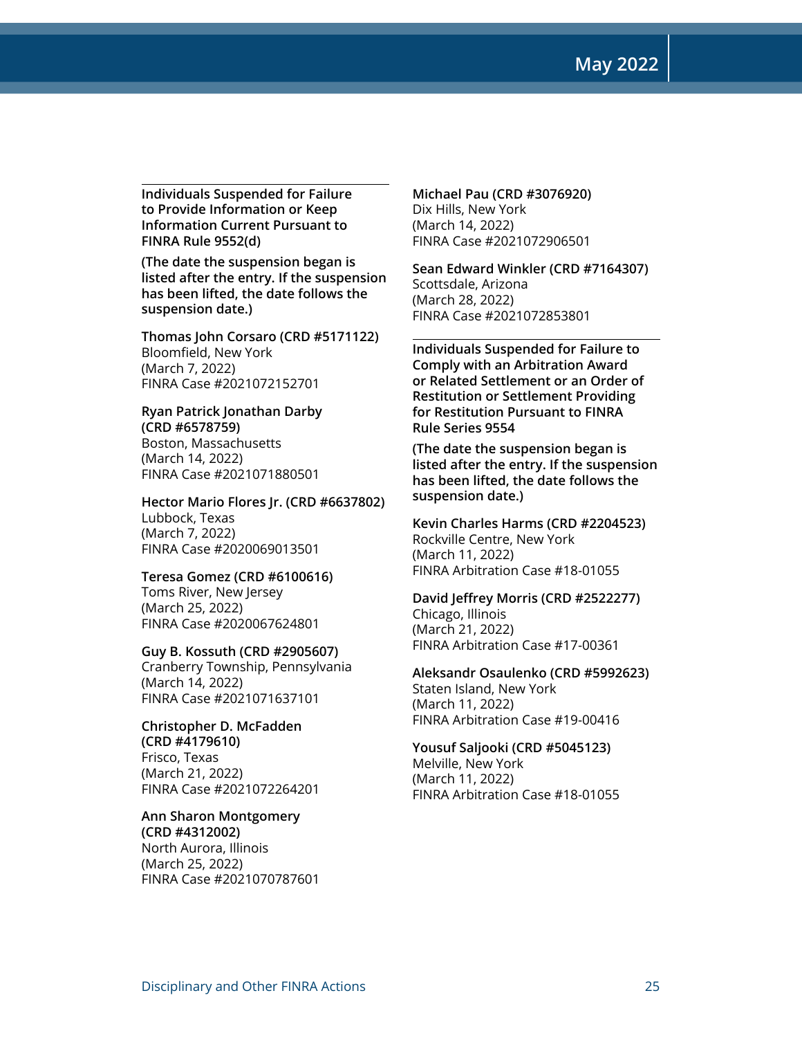**May 2022**

**Individuals Suspended for Failure to Provide Information or Keep Information Current Pursuant to FINRA Rule 9552(d)** 

**(The date the suspension began is listed after the entry. If the suspension has been lifted, the date follows the suspension date.)**

**Thomas John Corsaro (CRD #5171122)** Bloomfield, New York (March 7, 2022) FINRA Case #2021072152701

**Ryan Patrick Jonathan Darby (CRD #6578759)** Boston, Massachusetts (March 14, 2022) FINRA Case #2021071880501

**Hector Mario Flores Jr. (CRD #6637802)** Lubbock, Texas (March 7, 2022) FINRA Case #2020069013501

**Teresa Gomez (CRD #6100616)** Toms River, New Jersey (March 25, 2022) FINRA Case #2020067624801

**Guy B. Kossuth (CRD #2905607)** Cranberry Township, Pennsylvania (March 14, 2022) FINRA Case #2021071637101

**Christopher D. McFadden (CRD #4179610)** Frisco, Texas (March 21, 2022) FINRA Case #2021072264201

**Ann Sharon Montgomery (CRD #4312002)** North Aurora, Illinois (March 25, 2022) FINRA Case #2021070787601 **Michael Pau (CRD #3076920)** Dix Hills, New York (March 14, 2022) FINRA Case #2021072906501

**Sean Edward Winkler (CRD #7164307)** Scottsdale, Arizona (March 28, 2022) FINRA Case #2021072853801

**Individuals Suspended for Failure to Comply with an Arbitration Award or Related Settlement or an Order of Restitution or Settlement Providing for Restitution Pursuant to FINRA Rule Series 9554** 

**(The date the suspension began is listed after the entry. If the suspension has been lifted, the date follows the suspension date.)**

**Kevin Charles Harms (CRD #2204523)** Rockville Centre, New York (March 11, 2022) FINRA Arbitration Case #18-01055

**David Jeffrey Morris (CRD #2522277)** Chicago, Illinois (March 21, 2022) FINRA Arbitration Case #17-00361

**Aleksandr Osaulenko (CRD #5992623)** Staten Island, New York (March 11, 2022) FINRA Arbitration Case #19-00416

**Yousuf Saljooki (CRD #5045123)** Melville, New York (March 11, 2022) FINRA Arbitration Case #18-01055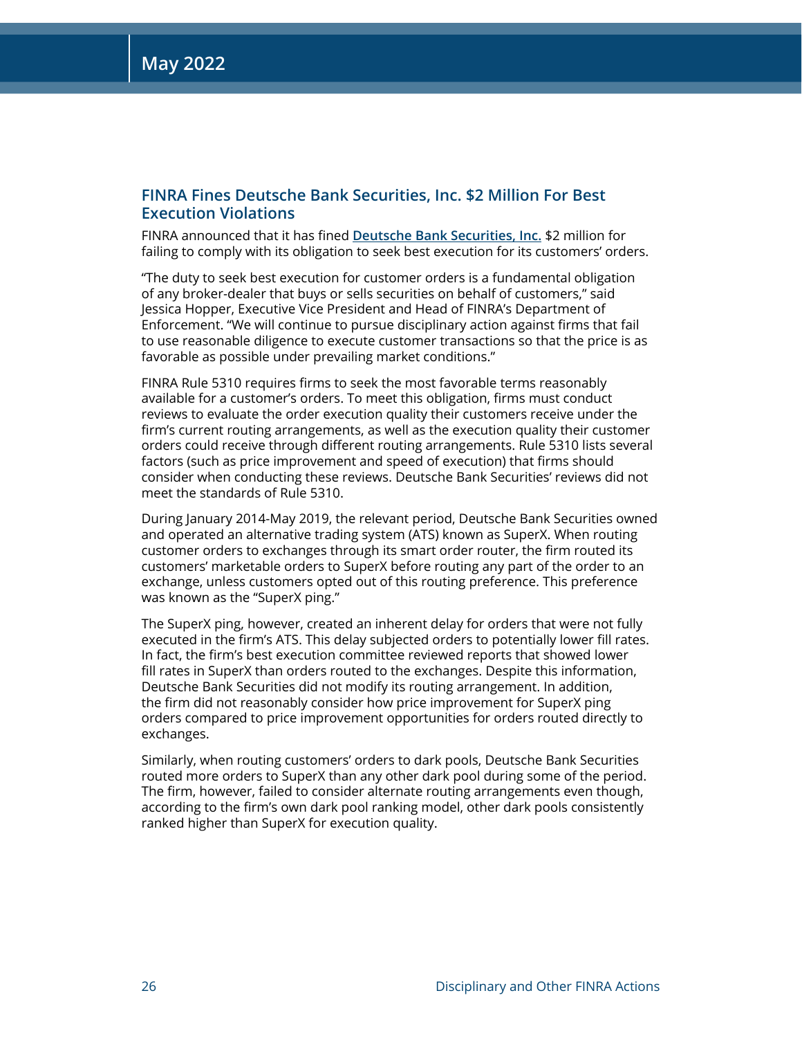## **FINRA Fines Deutsche Bank Securities, Inc. \$2 Million For Best Execution Violations**

FINRA announced that it has fined **[Deutsche Bank Securities, Inc.](http://brokercheck.finra.org/firm/summary/2525)** \$2 million for failing to comply with its obligation to seek best execution for its customers' orders.

"The duty to seek best execution for customer orders is a fundamental obligation of any broker-dealer that buys or sells securities on behalf of customers," said Jessica Hopper, Executive Vice President and Head of FINRA's Department of Enforcement. "We will continue to pursue disciplinary action against firms that fail to use reasonable diligence to execute customer transactions so that the price is as favorable as possible under prevailing market conditions."

FINRA Rule 5310 requires firms to seek the most favorable terms reasonably available for a customer's orders. To meet this obligation, firms must conduct reviews to evaluate the order execution quality their customers receive under the firm's current routing arrangements, as well as the execution quality their customer orders could receive through different routing arrangements. Rule 5310 lists several factors (such as price improvement and speed of execution) that firms should consider when conducting these reviews. Deutsche Bank Securities' reviews did not meet the standards of Rule 5310.

During January 2014-May 2019, the relevant period, Deutsche Bank Securities owned and operated an alternative trading system (ATS) known as SuperX. When routing customer orders to exchanges through its smart order router, the firm routed its customers' marketable orders to SuperX before routing any part of the order to an exchange, unless customers opted out of this routing preference. This preference was known as the "SuperX ping."

The SuperX ping, however, created an inherent delay for orders that were not fully executed in the firm's ATS. This delay subjected orders to potentially lower fill rates. In fact, the firm's best execution committee reviewed reports that showed lower fill rates in SuperX than orders routed to the exchanges. Despite this information, Deutsche Bank Securities did not modify its routing arrangement. In addition, the firm did not reasonably consider how price improvement for SuperX ping orders compared to price improvement opportunities for orders routed directly to exchanges.

Similarly, when routing customers' orders to dark pools, Deutsche Bank Securities routed more orders to SuperX than any other dark pool during some of the period. The firm, however, failed to consider alternate routing arrangements even though, according to the firm's own dark pool ranking model, other dark pools consistently ranked higher than SuperX for execution quality.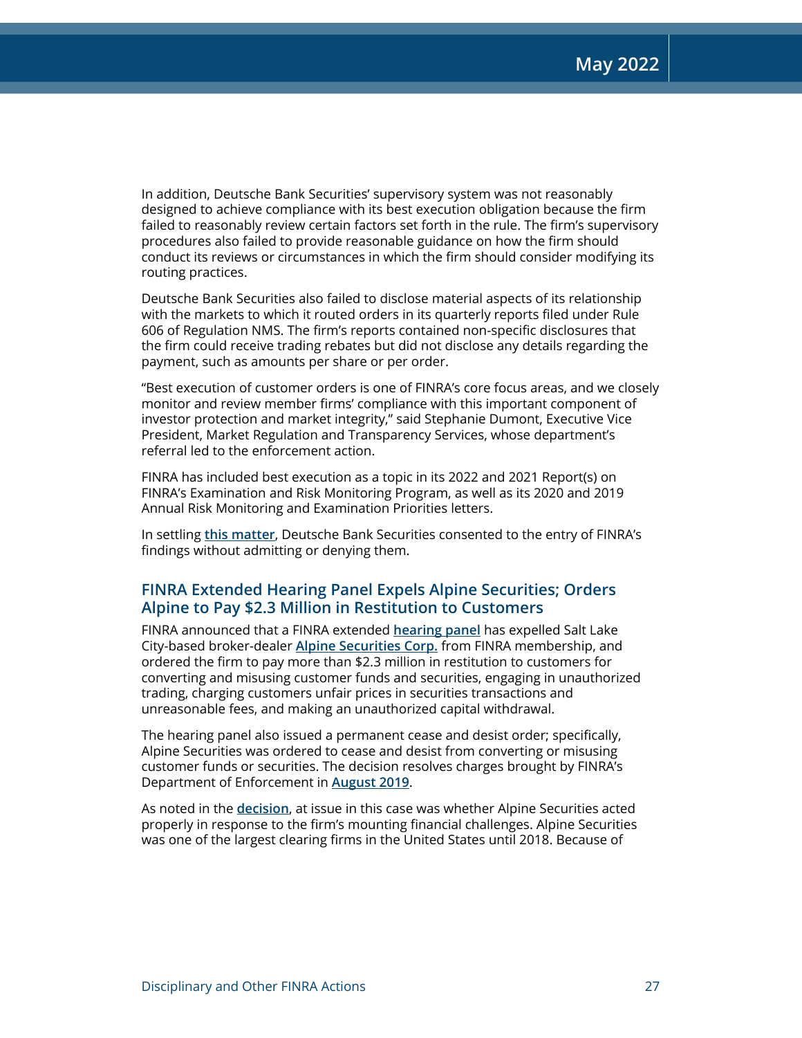In addition, Deutsche Bank Securities' supervisory system was not reasonably designed to achieve compliance with its best execution obligation because the firm failed to reasonably review certain factors set forth in the rule. The firm's supervisory procedures also failed to provide reasonable guidance on how the firm should conduct its reviews or circumstances in which the firm should consider modifying its routing practices.

Deutsche Bank Securities also failed to disclose material aspects of its relationship with the markets to which it routed orders in its quarterly reports filed under Rule 606 of Regulation NMS. The firm's reports contained non-specific disclosures that the firm could receive trading rebates but did not disclose any details regarding the payment, such as amounts per share or per order.

"Best execution of customer orders is one of FINRA's core focus areas, and we closely monitor and review member firms' compliance with this important component of investor protection and market integrity," said Stephanie Dumont, Executive Vice President, Market Regulation and Transparency Services, whose department's referral led to the enforcement action.

FINRA has included best execution as a topic in its 2022 and 2021 Report(s) on FINRA's Examination and Risk Monitoring Program, as well as its 2020 and 2019 Annual Risk Monitoring and Examination Priorities letters.

In settling **[this matter](https://www.finra.org/rules-guidance/oversight-enforcement/finra-disciplinary-actions?search=2014041813501)**, Deutsche Bank Securities consented to the entry of FINRA's findings without admitting or denying them.

## **FINRA Extended Hearing Panel Expels Alpine Securities; Orders Alpine to Pay \$2.3 Million in Restitution to Customers**

FINRA announced that a FINRA extended **[hearing panel](https://www.finra.org/rules-guidance/adjudication-decisions/office-hearing-officers-oho/about)** has expelled Salt Lake City-based broker-dealer **[Alpine Securities Corp.](http://brokercheck.finra.org/firm/summary/14952)** from FINRA membership, and ordered the firm to pay more than \$2.3 million in restitution to customers for converting and misusing customer funds and securities, engaging in unauthorized trading, charging customers unfair prices in securities transactions and unreasonable fees, and making an unauthorized capital withdrawal.

The hearing panel also issued a permanent cease and desist order; specifically, Alpine Securities was ordered to cease and desist from converting or misusing customer funds or securities. The decision resolves charges brought by FINRA's Department of Enforcement in **[August 2019](https://www.finra.org/rules-guidance/oversight-enforcement/finra-disciplinary-actions?search=2019061232601)**.

As noted in the **[decision](https://www.finra.org/rules-guidance/oversight-enforcement/finra-disciplinary-actions?search=%202019061232601)**, at issue in this case was whether Alpine Securities acted properly in response to the firm's mounting financial challenges. Alpine Securities was one of the largest clearing firms in the United States until 2018. Because of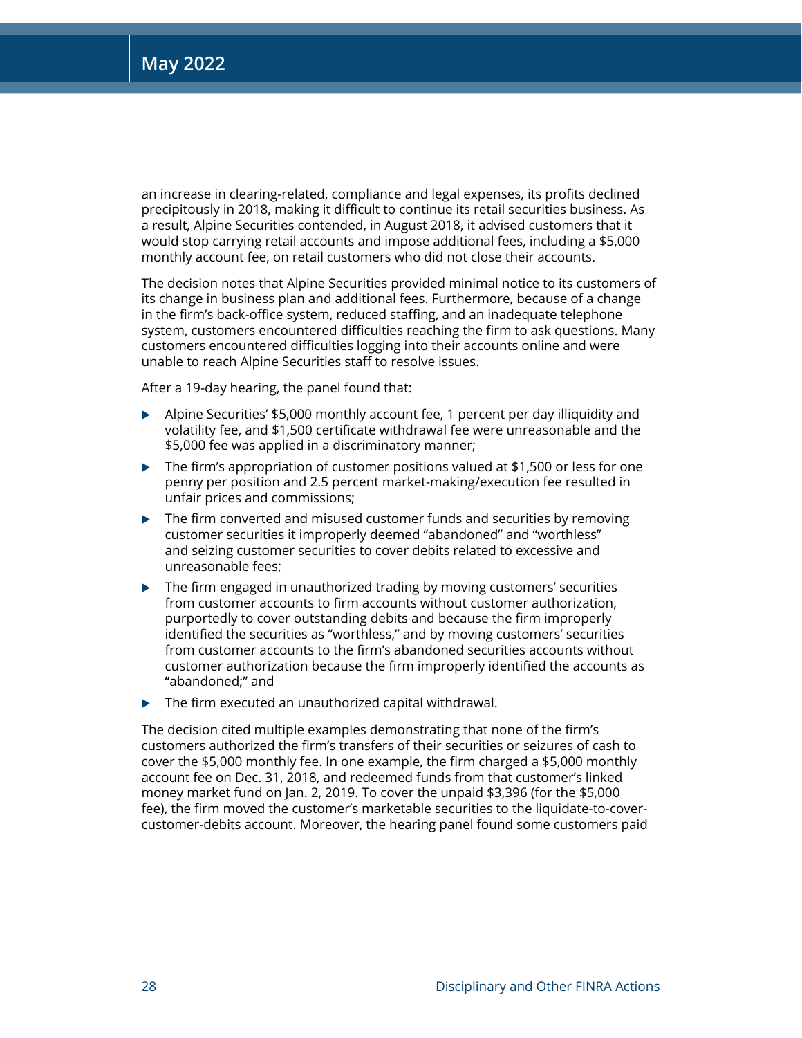an increase in clearing-related, compliance and legal expenses, its profits declined precipitously in 2018, making it difficult to continue its retail securities business. As a result, Alpine Securities contended, in August 2018, it advised customers that it would stop carrying retail accounts and impose additional fees, including a \$5,000 monthly account fee, on retail customers who did not close their accounts.

The decision notes that Alpine Securities provided minimal notice to its customers of its change in business plan and additional fees. Furthermore, because of a change in the firm's back-office system, reduced staffing, and an inadequate telephone system, customers encountered difficulties reaching the firm to ask questions. Many customers encountered difficulties logging into their accounts online and were unable to reach Alpine Securities staff to resolve issues.

After a 19-day hearing, the panel found that:

- $\blacktriangleright$  Alpine Securities' \$5,000 monthly account fee, 1 percent per day illiquidity and volatility fee, and \$1,500 certificate withdrawal fee were unreasonable and the \$5,000 fee was applied in a discriminatory manner;
- $\triangleright$  The firm's appropriation of customer positions valued at \$1,500 or less for one penny per position and 2.5 percent market-making/execution fee resulted in unfair prices and commissions;
- $\blacktriangleright$  The firm converted and misused customer funds and securities by removing customer securities it improperly deemed "abandoned" and "worthless" and seizing customer securities to cover debits related to excessive and unreasonable fees;
- $\triangleright$  The firm engaged in unauthorized trading by moving customers' securities from customer accounts to firm accounts without customer authorization, purportedly to cover outstanding debits and because the firm improperly identified the securities as "worthless," and by moving customers' securities from customer accounts to the firm's abandoned securities accounts without customer authorization because the firm improperly identified the accounts as "abandoned;" and
- $\blacktriangleright$  The firm executed an unauthorized capital withdrawal.

The decision cited multiple examples demonstrating that none of the firm's customers authorized the firm's transfers of their securities or seizures of cash to cover the \$5,000 monthly fee. In one example, the firm charged a \$5,000 monthly account fee on Dec. 31, 2018, and redeemed funds from that customer's linked money market fund on Jan. 2, 2019. To cover the unpaid \$3,396 (for the \$5,000 fee), the firm moved the customer's marketable securities to the liquidate-to-covercustomer-debits account. Moreover, the hearing panel found some customers paid